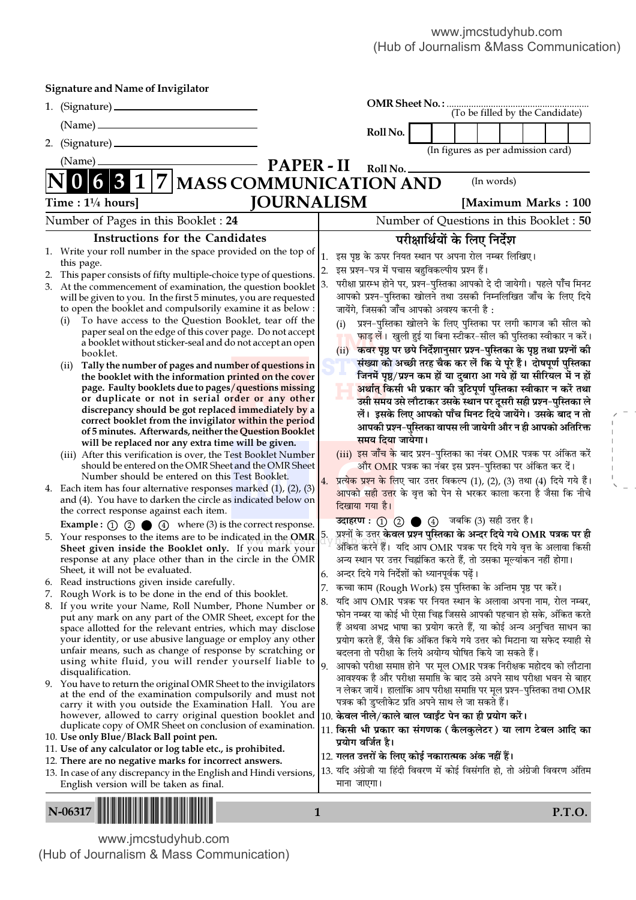| <b>Signature and Name of Invigilator</b>                                                                                                                                   |                                                                                                                                               |
|----------------------------------------------------------------------------------------------------------------------------------------------------------------------------|-----------------------------------------------------------------------------------------------------------------------------------------------|
|                                                                                                                                                                            | OMR Sheet No.:<br>(To be filled by the Candidate)                                                                                             |
|                                                                                                                                                                            |                                                                                                                                               |
|                                                                                                                                                                            | Roll No.                                                                                                                                      |
| (Name)                                                                                                                                                                     | (In figures as per admission card)                                                                                                            |
|                                                                                                                                                                            | <b>PAPER-II</b><br>Roll No.<br>(In words)                                                                                                     |
| 7 MASS COMMUNICATION AND                                                                                                                                                   |                                                                                                                                               |
| Time : $1\frac{1}{4}$ hours]                                                                                                                                               | <b>JOURNALISM</b><br>[Maximum Marks: 100]                                                                                                     |
| Number of Pages in this Booklet: 24                                                                                                                                        | Number of Questions in this Booklet: 50                                                                                                       |
| <b>Instructions for the Candidates</b>                                                                                                                                     | परीक्षार्थियों के लिए निर्देश                                                                                                                 |
| 1. Write your roll number in the space provided on the top of<br>this page.                                                                                                | इस पृष्ठ के ऊपर नियत स्थान पर अपना रोल नम्बर लिखिए।<br>1.                                                                                     |
| This paper consists of fifty multiple-choice type of questions.                                                                                                            | इस प्रश्न-पत्र में पचास बहुविकल्पीय प्रश्न हैं।<br>2.                                                                                         |
| 3. At the commencement of examination, the question booklet                                                                                                                | परीक्षा प्रारम्भ होने पर, प्रश्न-पुस्तिका आपको दे दी जायेगी। पहले पाँच मिनट<br>3.                                                             |
| will be given to you. In the first 5 minutes, you are requested                                                                                                            | आपको प्रश्न-पुस्तिका खोलने तथा उसकी निम्नलिखित जाँच के लिए दिये                                                                               |
| to open the booklet and compulsorily examine it as below :<br>To have access to the Question Booklet, tear off the<br>(i)                                                  | जायेंगे, जिसकी जाँच आपको अवश्य करनी है :                                                                                                      |
| paper seal on the edge of this cover page. Do not accept                                                                                                                   | प्रश्न-पुस्तिका खोलने के लिए पुस्तिका पर लगी कागज की सील को<br>(i)<br>फाड़ लें। खुली हुई या बिना स्टीकर-सील की पुस्तिका स्वीकार न करें।       |
| a booklet without sticker-seal and do not accept an open                                                                                                                   | कवर पृष्ठ पर छपे निर्देशानुसार प्रश्न-पुस्तिका के पृष्ठ तथा प्रश्नों की<br>(ii)                                                               |
| booklet.<br>Tally the number of pages and number of questions in<br>(11)                                                                                                   | संख्या को अच्छी तरह चैक कर लें कि ये पूरे हैं। दोषपूर्ण पुस्तिका                                                                              |
| the booklet with the information printed on the cover                                                                                                                      | जिनमें पृष्ठ/प्रश्न कम हों या दुबारा आ गये हों या सीरियल में न हों                                                                            |
| page. Faulty booklets due to pages/questions missing                                                                                                                       | अर्थात् किसी भी प्रकार की त्रुटिपूर्ण पुस्तिका स्वीकार न करें तथा                                                                             |
| or duplicate or not in serial order or any other<br>discrepancy should be got replaced immediately by a                                                                    | उसी समय उसे लौटाकर उसके स्थान पर दूसरी सही प्रश्न-पुस्तिका ले                                                                                 |
| correct booklet from the invigilator within the period                                                                                                                     | लें। इसके लिए आपको पाँच मिनट दिये जायेंगे। उसके बाद न तो<br>आपकी प्रश्न-पुस्तिका वापस ली जायेगी और न ही आपको अतिरिक्त                         |
| of 5 minutes. Afterwards, neither the Question Booklet                                                                                                                     | समय दिया जायेगा।                                                                                                                              |
| will be replaced nor any extra time will be given.<br>(iii) After this verification is over, the Test Booklet Number                                                       | (iii) इस जाँच के बाद प्रश्न-पुस्तिका का नंबर OMR पत्रक पर अंकित करें                                                                          |
| should be entered on the OMR Sheet and the OMR Sheet                                                                                                                       | और OMR पत्रक का नंबर इस प्रश्न–पुस्तिका पर अंकित कर दें।                                                                                      |
| Number should be entered on this Test Booklet.                                                                                                                             | प्रत्येक प्रश्न के लिए चार उत्तर विकल्प (1), (2), (3) तथा (4) दिये गये हैं।<br>4.                                                             |
| 4. Each item has four alternative responses marked $(1)$ , $(2)$ , $(3)$<br>and (4). You have to darken the circle as indicated below on                                   | <mark>आपको सही उत्त</mark> र के वृत्त को पेन से भरकर काला करना है जैसा कि नीचे                                                                |
| the correct response against each item.                                                                                                                                    | दिखाया गया है।                                                                                                                                |
| <b>Example :</b> $\odot$ $\odot$ $\odot$ $\odot$ $\odot$ $\odot$ where (3) is the correct response.                                                                        | उदाहरण: (1) 2 2 4 जबकि (3) सही उत्तर है।                                                                                                      |
| 5. Your responses to the items are to be indicated in the OMR $\vert$ <sup>5</sup> .                                                                                       | प्रश्नों के उत्तर केवल प्रश्न पुस्तिका के अन्दर दिये गये OMR पत्रक पर ही<br>अंकित करने हैं।  यदि आप OMR पत्रक पर दिये गये वृत्त के अलावा किसी |
| Sheet given inside the Booklet only. If you mark your<br>response at any place other than in the circle in the OMR                                                         | अन्य स्थान पर उत्तर चिह्नांकित करते हैं, तो उसका मूल्यांकन नहीं होगा।                                                                         |
| Sheet, it will not be evaluated.                                                                                                                                           | अन्दर दिये गये निर्देशों को ध्यानपूर्वक पढ़ें।                                                                                                |
| 6. Read instructions given inside carefully.                                                                                                                               | कच्चा काम (Rough Work) इस पुस्तिका के अन्तिम पृष्ठ पर करें।                                                                                   |
| 7. Rough Work is to be done in the end of this booklet.<br>8. If you write your Name, Roll Number, Phone Number or                                                         | यदि आप OMR पत्रक पर नियत स्थान के अलावा अपना नाम, रोल नम्बर,<br>8.                                                                            |
| put any mark on any part of the OMR Sheet, except for the                                                                                                                  | फोन नम्बर या कोई भी ऐसा चिह्न जिससे आपकी पहचान हो सके, अंकित करते                                                                             |
| space allotted for the relevant entries, which may disclose                                                                                                                | हैं अथवा अभद्र भाषा का प्रयोग करते हैं, या कोई अन्य अनुचित साधन का                                                                            |
| your identity, or use abusive language or employ any other<br>unfair means, such as change of response by scratching or                                                    | प्रयोग करते हैं, जैसे कि अंकित किये गये उत्तर को मिटाना या सफेद स्याही से<br>बदलना तो परीक्षा के लिये अयोग्य घोषित किये जा सकते हैं।          |
| using white fluid, you will render yourself liable to                                                                                                                      | आपको परीक्षा समाप्त होने पर मूल OMR पत्रक निरीक्षक महोदय को लौटाना<br>9.                                                                      |
| disqualification.                                                                                                                                                          | आवश्यक है और परीक्षा समाप्ति के बाद उसे अपने साथ परीक्षा भवन से बाहर                                                                          |
| 9. You have to return the original OMR Sheet to the invigilators<br>at the end of the examination compulsorily and must not                                                | न लेकर जायें। हालांकि आप परीक्षा समाप्ति पर मूल प्रश्न–पुस्तिका तथा OMR                                                                       |
| carry it with you outside the Examination Hall. You are                                                                                                                    | पत्रक की डुप्लीकेट प्रति अपने साथ ले जा सकते हैं।                                                                                             |
| however, allowed to carry original question booklet and 10. केवल नीले/काले बाल प्वाईंट पेन का ही प्रयोग करें।<br>duplicate copy of OMR Sheet on conclusion of examination. |                                                                                                                                               |
| 10. Use only Blue/Black Ball point pen.                                                                                                                                    | 11. किसी भी प्रकार का संगणक ( कैलकुलेटर ) या लाग टेबल आदि का<br>प्रयोग वर्जित है।                                                             |
| 11. Use of any calculator or log table etc., is prohibited.                                                                                                                | 12. गलत उत्तरों के लिए कोई नकारात्मक अंक नहीं हैं।                                                                                            |
| 12. There are no negative marks for incorrect answers.                                                                                                                     | 13. यदि अंग्रेजी या हिंदी विवरण में कोई विसंगति हो, तो अंग्रेजी विवरण अंतिम                                                                   |
| 13. In case of any discrepancy in the English and Hindi versions,<br>English version will be taken as final.                                                               | माना जाएगा।                                                                                                                                   |
|                                                                                                                                                                            |                                                                                                                                               |
| N-06317                                                                                                                                                                    | $\mathbf{1}$<br><b>P.T.O.</b>                                                                                                                 |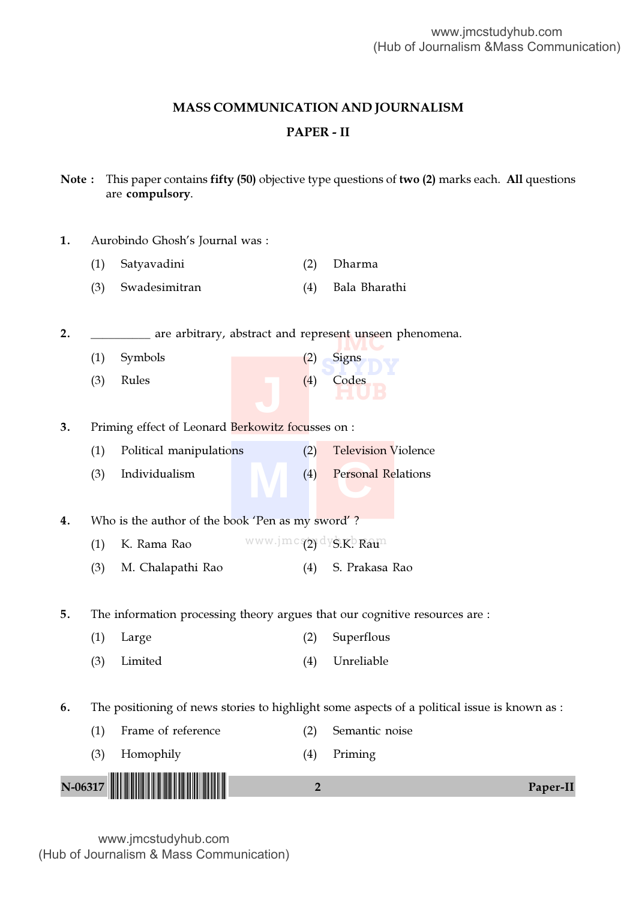## MASS COMMUNICATION AND JOURNALISM

## PAPER - II

Note : This paper contains fifty (50) objective type questions of two (2) marks each. All questions are compulsory.

| 1. | Aurobindo Ghosh's Journal was : |  |  |  |  |
|----|---------------------------------|--|--|--|--|
|----|---------------------------------|--|--|--|--|

- (1) Satyavadini (2) Dharma
- (3) Swadesimitran (4) Bala Bharathi

2. **IMC** are arbitrary, abstract and represent unseen phenomena.

**STYDY** (1) Symbols (2) Signs **HUB** (3) Rules (4) Codes

3. Priming effect of Leonard Berkowitz focusses on :

- (1) Political manipulations (2) Television Violence
- **M C** (3) Individualism (4) Personal Relations

4. Who is the author of the book 'Pen as my sword'?

- (1) K. Rama Rao MWW.jmcs(2) dys.K. Raun
- (3) M. Chalapathi Rao (4) S. Prakasa Rao

5. The information processing theory argues that our cognitive resources are :

| $(1)$ Large | (2) Superflous |
|-------------|----------------|
| (3) Limited | (4) Unreliable |

6. The positioning of news stories to highlight some aspects of a political issue is known as :

- (1) Frame of reference (2) Semantic noise
- N-06317 !N-06317-PAPER-II! <sup>2</sup> Paper-II (3) Homophily (4) Priming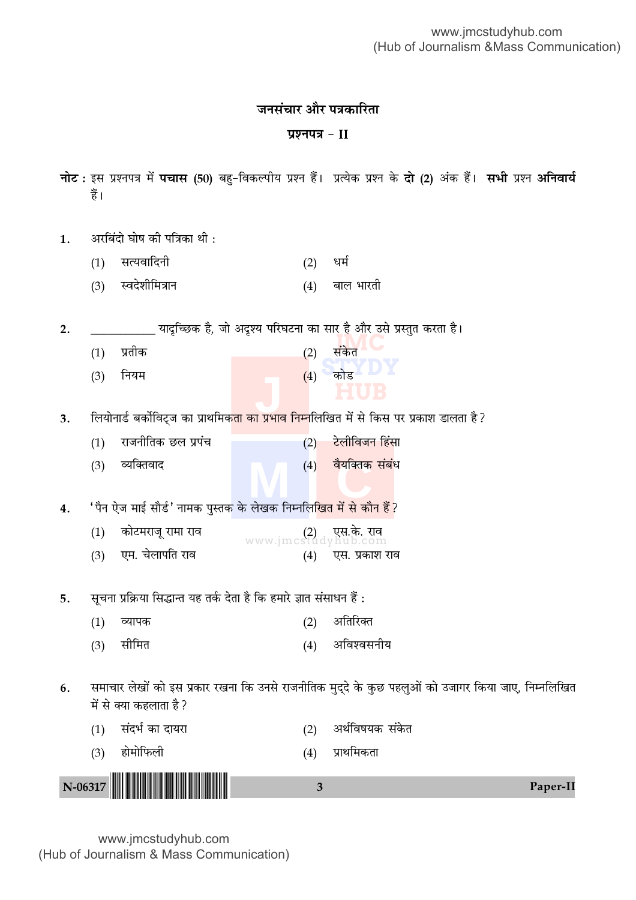# जनसंचार और पत्रकारिता

## प्रश्नपत्र $-II$

- नोट: इस प्रश्नपत्र में **पचास (50)** बहु-विकल्पीय प्रश्न हैं। प्रत्येक प्रश्न के **दो (2)** अंक हैं। सभी प्रश्न अनिवार्य हैं।
- अरबिंदो घोष की पत्रिका थी :  $1.$ 
	- सत्यवादिनी  $(1)$  $(2)$ धर्म
	- स्वदेशीमित्रान  $(3)$  $(4)$  बाल भारती

यादृच्छिक है, जो अदृश्य परिघटना का सा<u>र है और उ</u>से प्रस्तुत करता है।  $2.$ 

संकेत प्रतीक  $(2)$  $(1)$  $(4)$  कोड नियम  $(3)$ 

लियोनार्ड बर्कोविट्ज का प्राथमिक<mark>ता का प्रभाव निम्न</mark>लिखित में से किस पर प्रकाश डालता है?  $3.$ 

(2) टेलीविजन हिंसा राजनीतिक छल प्रपंच  $(1)$  $(4)$  वैयक्तिक संबंध  $(3)$ व्यक्तिवाद

'पैन ऐज माई सौर्ड' नामक पुस्तक के लेखक निम्नलिखित में से कौन हैं ?  $4.$ 

 $(1)$ कोटमराजू रामा राव www.jmcstudyhub.com एस.के. राव एम. चेलापति राव एस. प्रकाश राव  $(3)$  $(4)$ 

सूचना प्रक्रिया सिद्धान्त यह तर्क देता है कि हमारे ज्ञात संसाधन हैं : 5.

| $(1)$ व्यापक | (2) अतिरिक्त   |
|--------------|----------------|
| (3) सीमित    | (4) अविश्वसनीय |

समाचार लेखों को इस प्रकार रखना कि उनसे राजनीतिक मुद्दे के कुछ पहलुओं को उजागर किया जाए, निम्नलिखित 6. में से क्या कहलाता है ?

| (3) होमोफिली          | (4) प्राथमिकता      |
|-----------------------|---------------------|
| $(1)$ संदर्भ का दायरा | (2) अर्थविषयक संकेत |
|                       |                     |

Paper-II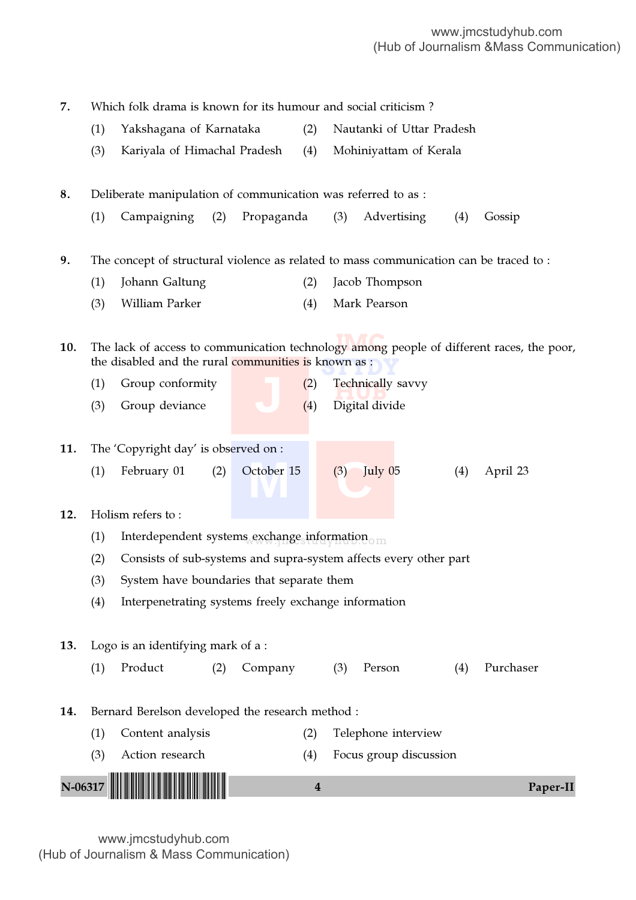**10.** The lack of access to communication technology among people of different races, the poor, the disabled and the rural communities is known as : **Technically savvy**<br>Digital divide (1) Interdependent systems exchange information  $_{\text{om}}$ **M C** N-06317 !N-06317-PAPER-II! <sup>4</sup> Paper-II 7. Which folk drama is known for its humour and social criticism ? (1) Yakshagana of Karnataka (2) Nautanki of Uttar Pradesh (3) Kariyala of Himachal Pradesh (4) Mohiniyattam of Kerala 8. Deliberate manipulation of communication was referred to as : (1) Campaigning (2) Propaganda (3) Advertising (4) Gossip 9. The concept of structural violence as related to mass communication can be traced to : (1) Johann Galtung (2) Jacob Thompson (3) William Parker (4) Mark Pearson (1) Group conformity  $(2)$ (3) Group deviance  $(4)$ 11. The 'Copyright day' is observed on : (1) February 01 (2) October 15 (3) July 05 (4) April 23 12. Holism refers to : (2) Consists of sub-systems and supra-system affects every other part (3) System have boundaries that separate them (4) Interpenetrating systems freely exchange information 13. Logo is an identifying mark of a : (1) Product (2) Company (3) Person (4) Purchaser 14. Bernard Berelson developed the research method : (1) Content analysis (2) Telephone interview (3) Action research (4) Focus group discussion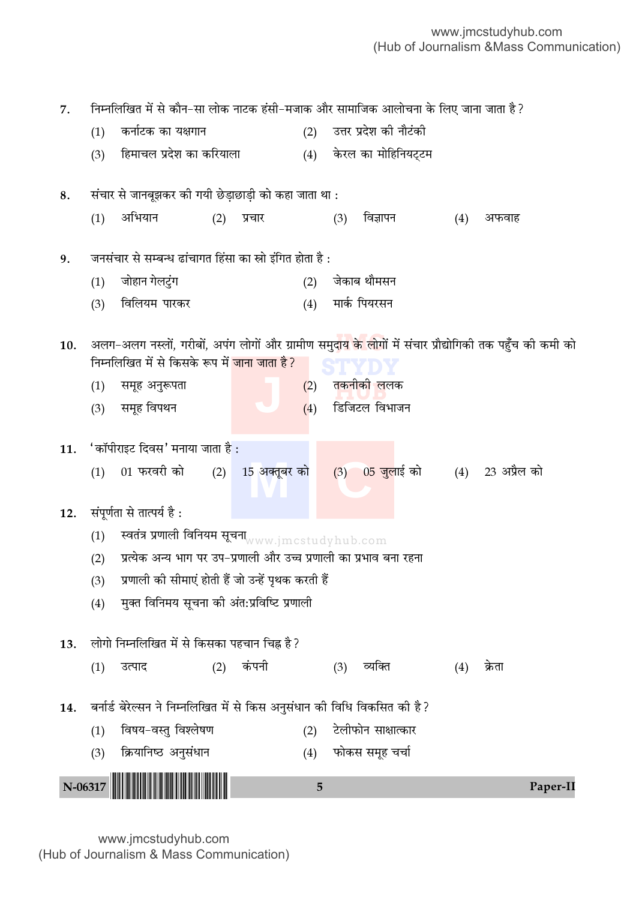10. अलग–अलग नस्लों, गरीबों, अपंग लोगों और ग्रामीण समुद<mark>ाय के लोगों में संचार प्रौद्योगिकी तक पहुँच की कमी को</mark> **STYDY** <mark>तकनीकी ल</mark>लक (1) **स्वतंत्र प्रणाली विनियम सूचना** $_{\rm{www.jmctudyhub.com}}$ <u>15 अक्तूबर को</u> N-06317 <sup>5</sup> Paper-II !N-06317-PAPER-II! 7. निम्नलिखित में से कौन−सा लोक नाटक हंसी−मजाक और सामाजिक आलोचना के लिए जाना जाता है ? (1) कर्नाटक का यक्षगान (2) उत्तर प्रदेश की नौटंकी (3) Á"◊Êø‹ ¬˝Œ‡Ê ∑§Ê ∑§Á⁄UÿÊ‹Ê (4) ∑§⁄U‹ ∑§Ê ◊ÊÁ"ÁŸÿ≈˜U≈U◊ 8. संचार से जानबूझकर की गयी छेड़ाछाड़ी को कहा जाता था : (1) अभियान (2) प्रचार (3) विज्ञापन (4) अफवाह 9. जनसंचार से सम्बन्ध ढांचागत हिंसा का स्रो इंगित होता है: (1) जोहान गेलटुंग (2) जेकाब थौमसन (3) विलियम पारकर (4) मार्क पियरसन निम्नलिखित में से किसके रूप में <mark>जाना जाता है?</mark>  $(1)$  समूह अनुरूपता  $(2)$ (3) समूह विपथन (4) हिजिटल विभाजन  $11.$  'कॉपीराइट दिवस' मनाया जाता है : (1) 01 फरवरी को  $(2)$  15 अक्तूबर को  $(3)$  05 जुलाई को  $(4)$  23 अप्रैल को 12. संपूर्णता से तात्पर्य है: (2) प्रत्येक अन्य भाग पर उप−प्रणाली और उच्च प्रणाली का प्रभाव बना रहना (3) प्रणाली की सीमाएं होती हैं जो उन्हें पृथक करती हैं (4) मुक्त विनिमय सूचना की अंत:प्रविष्टि प्रणाली 13. लोगो निम्नलिखित में से किसका पहचान चिह्न है? (1) उत्पाद (2) कंपनी (3) व्यक्ति (4) क्रेता 14. बर्नार्ड बेरेल्सन ने निम्नलिखित में से किस अनुसंधान की विधि विकसित की है? (1) विषय-वस्तु विश्लेषण (2) टेलीफोन साक्षात्कार (3) क्रियानिष्ठ अनुसंधान (4) फोकस समूह चर्चा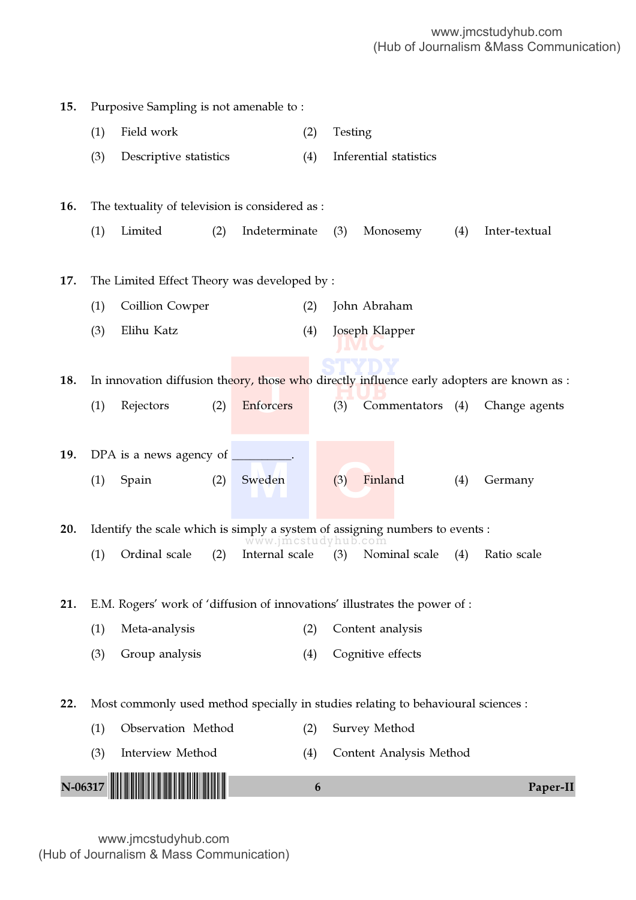| 15.     |     | Purposive Sampling is not amenable to:          |                     |                                                                                            |
|---------|-----|-------------------------------------------------|---------------------|--------------------------------------------------------------------------------------------|
|         | (1) | Field work                                      | (2)                 | Testing                                                                                    |
|         | (3) | Descriptive statistics                          | (4)                 | Inferential statistics                                                                     |
|         |     |                                                 |                     |                                                                                            |
| 16.     |     | The textuality of television is considered as : |                     |                                                                                            |
|         | (1) | Limited<br>(2)                                  | Indeterminate       | (3)<br>Monosemy<br>(4)<br>Inter-textual                                                    |
|         |     |                                                 |                     |                                                                                            |
| 17.     |     | The Limited Effect Theory was developed by:     |                     |                                                                                            |
|         | (1) | Coillion Cowper                                 | (2)                 | John Abraham                                                                               |
|         | (3) | Elihu Katz                                      | (4)                 | Joseph Klapper                                                                             |
|         |     |                                                 |                     |                                                                                            |
| 18.     |     |                                                 |                     | In innovation diffusion theory, those who directly influence early adopters are known as : |
|         | (1) | Rejectors<br>(2)                                | Enforcers           | (3)<br>Commentators (4)<br>Change agents                                                   |
|         |     |                                                 |                     |                                                                                            |
| 19.     |     | DPA is a news agency of                         |                     |                                                                                            |
|         | (1) | (2)<br>Spain                                    | Sweden              | Finland<br>(3)<br>(4)<br>Germany                                                           |
|         |     |                                                 |                     |                                                                                            |
| 20.     |     |                                                 | www.jmcstudyhub.com | Identify the scale which is simply a system of assigning numbers to events :               |
|         | (1) | Ordinal scale<br>(2)                            | Internal scale      | (3)<br>Nominal scale<br>(4)<br>Ratio scale                                                 |
|         |     |                                                 |                     |                                                                                            |
| 21.     |     |                                                 |                     | E.M. Rogers' work of 'diffusion of innovations' illustrates the power of :                 |
|         | (1) | Meta-analysis                                   | (2)                 | Content analysis                                                                           |
|         | (3) | Group analysis                                  | (4)                 | Cognitive effects                                                                          |
|         |     |                                                 |                     |                                                                                            |
| 22.     |     |                                                 |                     | Most commonly used method specially in studies relating to behavioural sciences :          |
|         | (1) | Observation Method                              | (2)                 | Survey Method                                                                              |
|         | (3) | Interview Method                                | (4)                 | Content Analysis Method                                                                    |
| N-06317 |     |                                                 | 6                   | Paper-II                                                                                   |
|         |     |                                                 |                     |                                                                                            |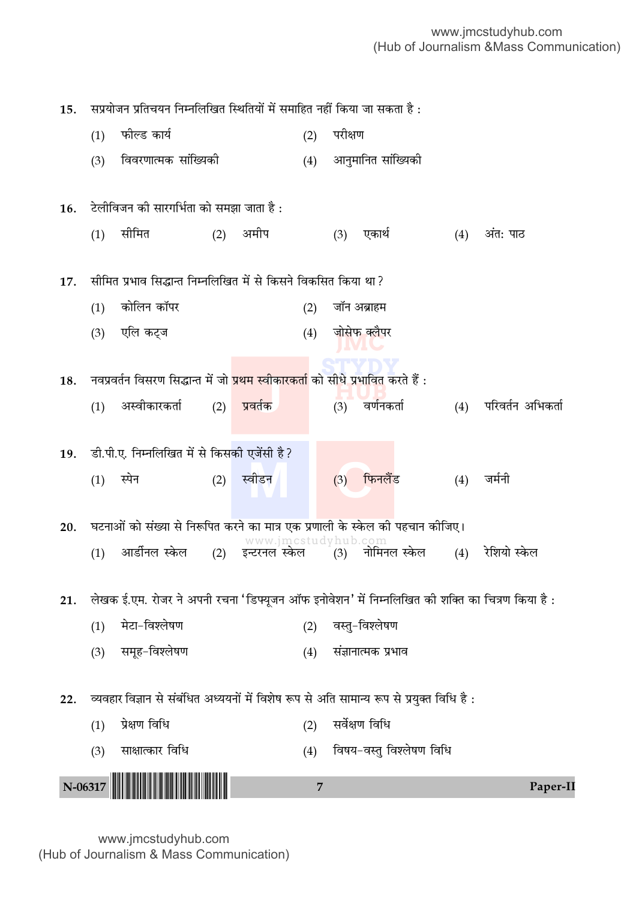सप्रयोजन प्रतिचयन निम्नलिखित स्थितियों में समाहित नहीं किया जा सकता है: 15.  $(1)$ फील्ड कार्य परीक्षण  $(2)$  $(3)$ विवरणात्मक सांख्यिकी  $(4)$ आनुमानित सांख्यिकी टेलीविजन की सारगर्भिता को समझा जाता है: 16. सीमित अमीप  $(4)$  $(1)$  $(2)$ (3) एकार्थ अंत: पाठ सीमित प्रभाव सिद्धान्त निम्नलिखित में से किसने विकसित किया था ? 17. कोलिन कॉपर  $(1)$  $(2)$ जॉन अब्राहम  $(3)$ एलि कट्ज  $(4)$ जोसेफ क्लैपर नवप्रवर्तन विसरण सिद्धान्त में जो <mark>प्रथम स्वीकारकर्ता</mark> को सीधे प्रभावित करते हैं : 18. (4) परिवर्तन अभिकर्ता अस्वीकारकर्ता (2) प्रवर्तक  $(3)$  वर्णनकर्ता  $(1)$ डी.पी.ए. निम्नलिखित में से किसकी एजेंसी है ? 19. (1) स्पेन फिनलैंड जर्मनी स्वीडन  $(2)$  $(3)$  $(4)$ घटनाओं को संख्या से निरूपित करने का मात्र एक प्रणाली के स्केल की पहचान कीजिए। 20. www.jmcstudyhub.c (4) रेशियो स्केल आर्डीनल स्केल  $(1)$ (2) इन्टरनल स्केल  $(3)$ नोमिनल स्केल लेखक ई.एम. रोजर ने अपनी रचना 'डिफ्यूजन ऑफ इनोवेशन' में निम्नलिखित की शक्ति का चित्रण किया है:  $21.$ मेटा-विश्लेषण  $(1)$  $(2)$ वस्त-विश्लेषण समूह-विश्लेषण  $(3)$ (4) संज्ञानात्मक प्रभाव व्यवहार विज्ञान से संबंधित अध्ययनों में विशेष रूप से अति सामान्य रूप से प्रयुक्त विधि है :  $22.$ सर्वेक्षण विधि प्रेक्षण विधि  $(1)$  $(2)$ विषय-वस्तु विश्लेषण विधि साक्षात्कार विधि  $(3)$  $(4)$ N-06317  $\overline{7}$ Paper-II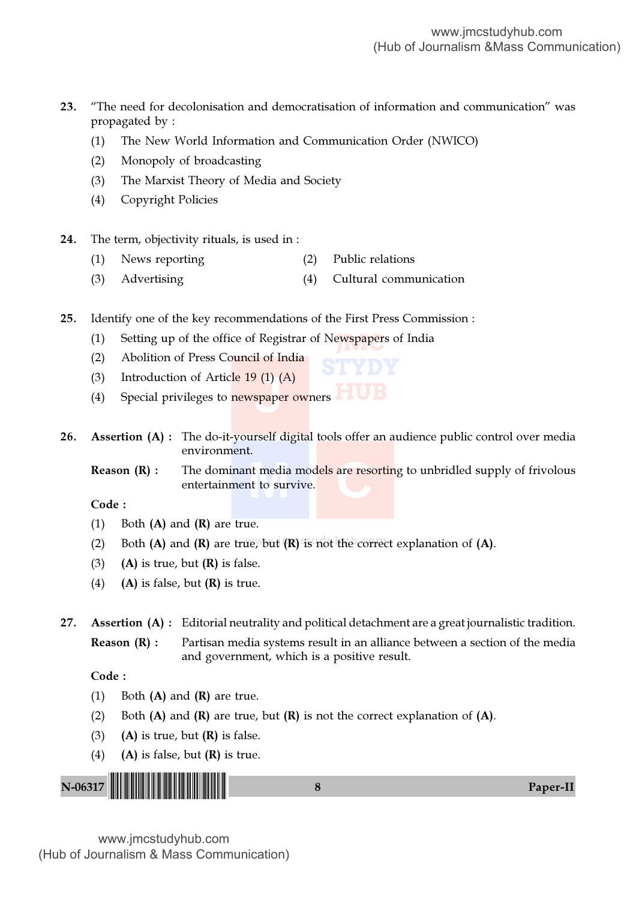- 23. "The need for decolonisation and democratisation of information and communication" was propagated by :
	- (1) The New World Information and Communication Order (NWICO)
	- (2) Monopoly of broadcasting
	- (3) The Marxist Theory of Media and Society
	- (4) Copyright Policies
- 24. The term, objectivity rituals, is used in :
	- (1) News reporting (2) Public relations
	- (3) Advertising (4) Cultural communication
- 25. Identify one of the key recommendations of the First Press Commission :
	- (1) Setting up of the office of Registrar of Newspapers of India
	- (2) Abolition of Press Council of India
	- (3) Introduction of Article  $19(1)(A)$
	- **HUB** *J* (1) (*A* spaper (4) Special privileges to newspaper owners

26. Assertion (A): The do-it-yourself digital tools offer an audience public control over media environment.

nt media mod<mark>els</mark> are resort to survive. **Reason (R)** : The dominant media models are resorting to unbridled supply of frivolous entertainment to survive.

**STYDY**

Code :

- (1) Both  $(A)$  and  $(R)$  are true.
- (2) Both  $(A)$  and  $(R)$  are true, but  $(R)$  is not the correct explanation of  $(A)$ .
- (3) (A) is true, but  $(R)$  is false.
- (4) (A) is false, but  $(R)$  is true.

27. Assertion (A) : Editorial neutrality and political detachment are a great journalistic tradition. **Reason (R) :** Partisan media systems result in an alliance between a section of the media

and government, which is a positive result.

Code :

- (1) Both  $(A)$  and  $(R)$  are true.
- (2) Both  $(A)$  and  $(R)$  are true, but  $(R)$  is not the correct explanation of  $(A)$ .
- (3) (A) is true, but  $(R)$  is false.
- (4) (A) is false, but  $(R)$  is true.

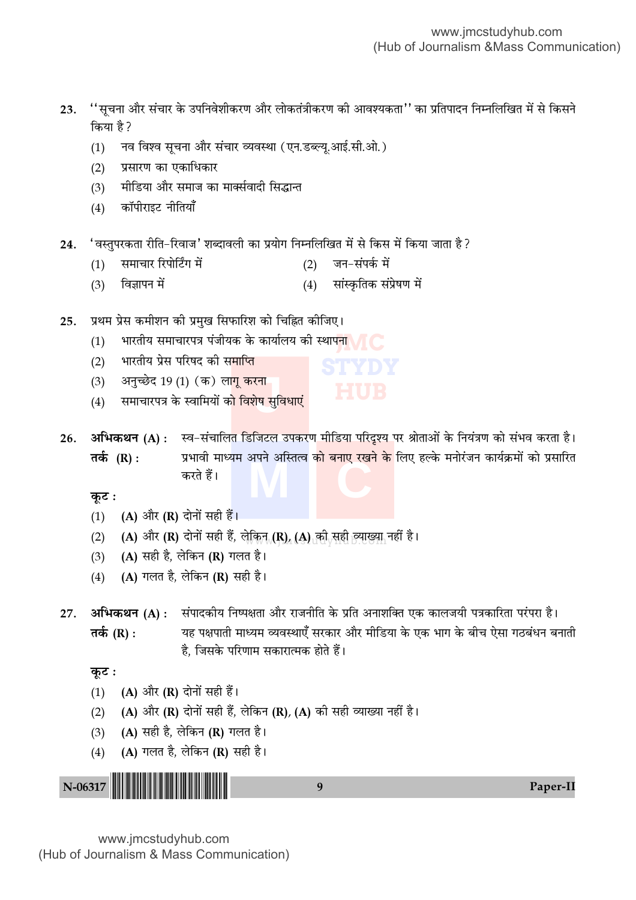''सूचना और संचार के उपनिवेशीकरण और लोकतंत्रीकरण की आवश्यकता'' का प्रतिपादन निम्नलिखित में से किसने 23. किया है? नव विश्व सूचना और संचार व्यवस्था (एन.डब्ल्यू.आई.सी.ओ.)  $(1)$ प्रसारण का एकाधिकार  $(2)$ मीडिया और समाज का मार्क्सवादी सिद्धान्त  $(3)$ कॉपीराइट नीतियाँ  $(4)$ 'वस्तुपरकता रीति-रिवाज' शब्दावली का प्रयोग निम्नलिखित में से किस में किया जाता है ? 24.

- (2) जन-संपर्क में समाचार रिपोर्टिंग में  $(1)$
- विज्ञापन में (4) सांस्कृतिक संप्रेषण में  $(3)$
- प्रथम प्रेस कमीशन की प्रमुख सिफारिश को चिह्नित कीजिए। 25.
	- भारतीय समाचारपत्र पंजीयक के कार्यालय की स्थापन<mark>ा</mark>  $(1)$
	- भारतीय प्रेस परिषद की समाप्ति  $(2)$
	- अनुच्छेद 19 (1) (क) ला<mark>गू करना</mark>  $(3)$
	- समाचारपत्र के स्वामियों क<mark>ो विशेष सुविधाएं</mark>  $(4)$

अभिकथन (A) : स्व-संचालित डिजिटल उपकरण मीडिया परिदृश्य पर श्रोताओं के नियंत्रण को संभव करता है। 26. प्रभावी माध्यम अपने अस्तित्व <mark>को बनाए रखने के</mark> लिए हल्के मनोरंजन कार्यक्रमों को प्रसारित तर्क (R) : करते हैं।

कूट :

- (1) (A) और (R) दोनों सही हैं।
- (A) और (R) दोनों सही हैं, लेकिन (R), (A) की सही त्याख्या नहीं है।  $(2)$
- (A) सही है, लेकिन (R) गलत है।  $(3)$
- (A) गलत है, लेकिन (R) सही है।  $(4)$
- अभिकथन (A) : संपादकीय निष्पक्षता और राजनीति के प्रति अनाशक्ति एक कालजयी पत्रकारिता परंपरा है। 27. यह पक्षपाती माध्यम व्यवस्थाएँ सरकार और मीडिया के एक भाग के बीच ऐसा गठबंधन बनाती तर्क (R) : है. जिसके परिणाम सकारात्मक होते हैं।

कुट:

- (A) और (R) दोनों सही हैं।  $(1)$
- (A) और (R) दोनों सही हैं, लेकिन (R), (A) की सही व्याख्या नहीं है।  $(2)$
- (A) सही है, लेकिन (R) गलत है।  $(3)$
- (A) गलत है, लेकिन (R) सही है।  $(4)$

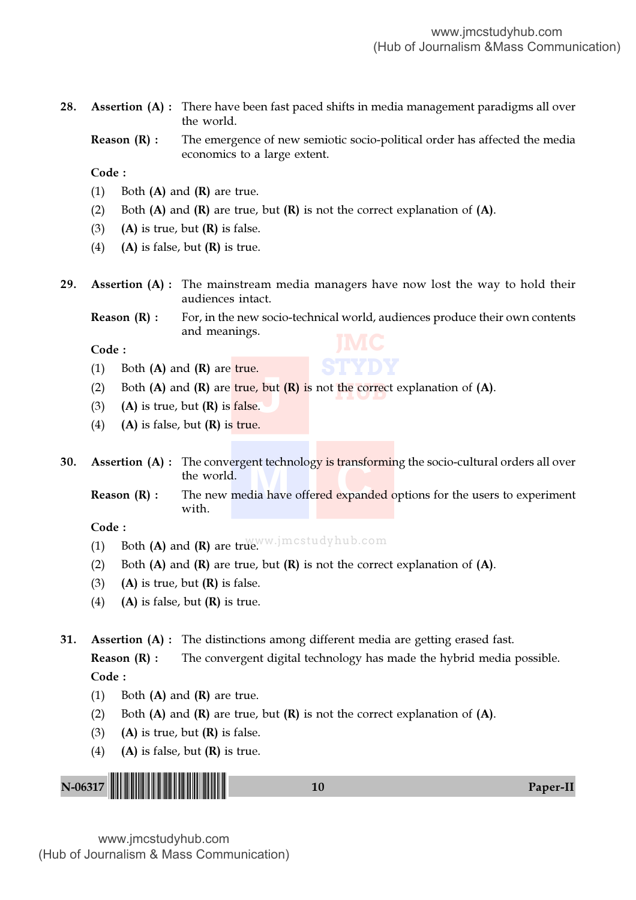| 28.     |       |                | the world.                                  |    |     | <b>Assertion (A)</b> : There have been fast paced shifts in media management paradigms all over     |          |
|---------|-------|----------------|---------------------------------------------|----|-----|-----------------------------------------------------------------------------------------------------|----------|
|         |       | Reason $(R)$ : | economics to a large extent.                |    |     | The emergence of new semiotic socio-political order has affected the media                          |          |
|         | Code: |                |                                             |    |     |                                                                                                     |          |
|         | (1)   |                | Both $(A)$ and $(R)$ are true.              |    |     |                                                                                                     |          |
|         | (2)   |                |                                             |    |     | Both $(A)$ and $(R)$ are true, but $(R)$ is not the correct explanation of $(A)$ .                  |          |
|         | (3)   |                | $(A)$ is true, but $(R)$ is false.          |    |     |                                                                                                     |          |
|         | (4)   |                | $(A)$ is false, but $(R)$ is true.          |    |     |                                                                                                     |          |
| 29.     |       |                | audiences intact.                           |    |     | <b>Assertion (A)</b> : The mainstream media managers have now lost the way to hold their            |          |
|         |       | Reason $(R)$ : | and meanings.                               |    |     | For, in the new socio-technical world, audiences produce their own contents                         |          |
|         | Code: |                |                                             |    | JMC |                                                                                                     |          |
|         | (1)   |                | Both $(A)$ and $(R)$ are true.              |    |     |                                                                                                     |          |
|         | (2)   |                |                                             |    |     | Both $(A)$ and $(R)$ are true, but $(R)$ is not the correct explanation of $(A)$ .                  |          |
|         | (3)   |                | $(A)$ is true, but $(R)$ is false.          |    |     |                                                                                                     |          |
|         | (4)   |                | $(A)$ is false, but $(R)$ is true.          |    |     |                                                                                                     |          |
| 30.     |       |                | the world.                                  |    |     | <b>Assertion (A) :</b> The convergent technology is transforming the socio-cultural orders all over |          |
|         |       | Reason $(R)$ : | with.                                       |    |     | The new media have offered expanded options for the users to experiment                             |          |
|         | Code: |                |                                             |    |     |                                                                                                     |          |
|         | (1)   |                | Both (A) and (R) are true. Imestudy hub.com |    |     |                                                                                                     |          |
|         | (2)   |                |                                             |    |     | Both $(A)$ and $(R)$ are true, but $(R)$ is not the correct explanation of $(A)$ .                  |          |
|         | (3)   |                | $(A)$ is true, but $(R)$ is false.          |    |     |                                                                                                     |          |
|         | (4)   |                | $(A)$ is false, but $(R)$ is true.          |    |     |                                                                                                     |          |
| 31.     |       |                |                                             |    |     | <b>Assertion (A)</b> : The distinctions among different media are getting erased fast.              |          |
|         |       | Reason $(R)$ : |                                             |    |     | The convergent digital technology has made the hybrid media possible.                               |          |
|         | Code: |                |                                             |    |     |                                                                                                     |          |
|         | (1)   |                | Both $(A)$ and $(R)$ are true.              |    |     |                                                                                                     |          |
|         | (2)   |                |                                             |    |     | Both $(A)$ and $(R)$ are true, but $(R)$ is not the correct explanation of $(A)$ .                  |          |
|         | (3)   |                | (A) is true, but $(R)$ is false.            |    |     |                                                                                                     |          |
|         | (4)   |                | $(A)$ is false, but $(R)$ is true.          |    |     |                                                                                                     |          |
|         |       |                |                                             |    |     |                                                                                                     |          |
| N-06317 |       |                |                                             | 10 |     |                                                                                                     | Paper-II |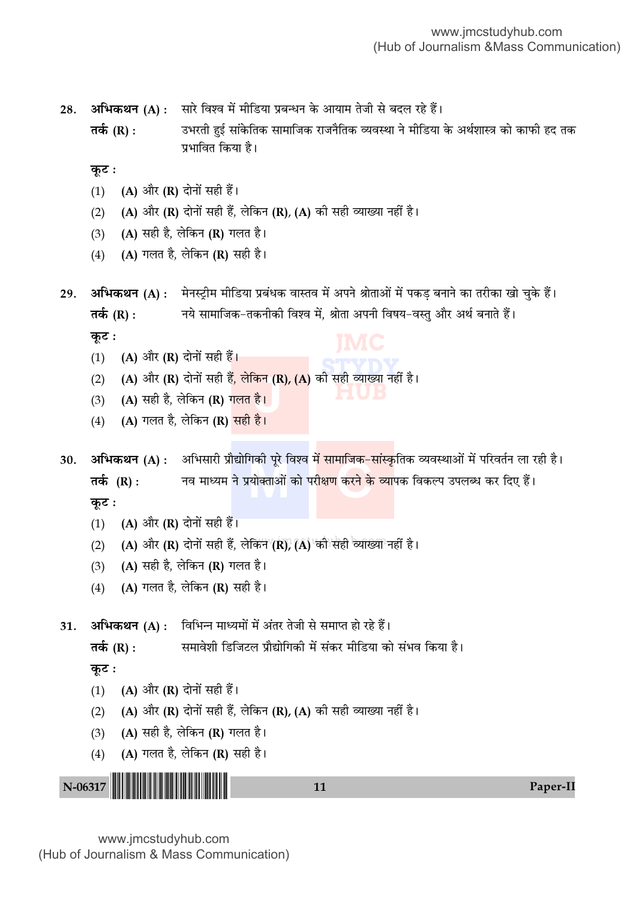28. **अभिकथन (A) :** सारे विश्व में मीडिया प्रबन्धन के आयाम तेजी से बदल रहे हैं।

**Ã∑¸§** (R) : ©÷⁄UÃË "È߸ 'Ê¥∑§ÁÃ∑§ 'Ê◊ÊÁ¡∑§ ⁄UÊ¡ŸÒÁÃ∑§ √ÿflSÕÊ Ÿ ◊ËÁ«UÿÊ ∑§ •Õ¸‡ÊÊSòÊ ∑§Ê ∑§Ê»§Ë "Œ Ã∑§ प्रभावित किया है।

<u>क</u>ूट :

- (1) (A) और (R) दोनों सही हैं।
- (2) (A) और (R) दोनों सही हैं, लेकिन (R), (A) की सही व्याख्या नहीं है।
- (3) (A) सही है, लेकिन (R) गलत है।
- (4) (A) गलत है, लेकिन (R) सही है।
- 29.  **अभिकथन (A) :** मेनस्ट्रीम मीडिया प्रबंधक वास्तव में अपने श्रोताओं में पकड़ बनाने का तरीका खो चुके हैं। **तर्क (R) :** नये सामाजिक−तकनीकी विश्व में, श्रोता अपनी विषय−वस्तु और अर्थ बनाते हैं।

**कूट**ः

- (1) (A) और (R) दोनों सही हैं।
- STITYD<br><sup>3</sup> ਸੂਫ਼ੀ ਕਾਂਸਕਾ ਜਵੀਂ <sup>1</sup> **HUB** (2) **(A)** और (**R)** दोनों सही हैं, लेकिन (**R), (A)** की सही व्याख्या नहीं है।<br>(3) (A) सही है, लेकिन (**R**) <mark>गलत है।</mark><br>(4) (A) गलत है, लेकिन (R) मही है।
- (3) (A) सही है, लेकिन (R) <mark>गलत है।</mark>
- (4) (A) गलत है, लेकिन (R) <mark>सही है।</mark>

गका पूर ावश्व म सामाजिक–स<br>|योक्ताओं को परीक्षण करने के 30. **अभिकथन (A)** : अभिसारी प्रौद्योगिकी पूरे विश्व <mark>में सामाजिक–सांस्कृ</mark>तिक व्यवस्थाओं में परिवर्तन ला रही है। **तर्क (R) :** नव माध्यम ने प्रयोक्ताओं को परीक्षण करने के व्यापक विकल्प उपलब्ध कर दिए हैं।

**कूट**ः

- (1)  $(A)$  और  $(R)$  दोनों सही हैं।
- (2) (A) और (R) दोनों सही हैं, लेकिन (R), (A) की सही व्याख्या नहीं है।
- (3) (A) सही है, लेकिन (R) गलत है।
- (4) (A) गलत है, लेकिन (R) सही है।

31. **अभिकथन (A)** : विभिन्न माध्यमों में अंतर तेजी से समाप्त हो रहे हैं।

**तर्क (R) :** समावेशी डिजिटल प्रौद्योगिकी में संकर मीडिया को संभव किया है।

<u>क</u>ूट :

- (1) (A) और (R) दोनों सही हैं।
- (2) (A) और (R) दोनों सही हैं, लेकिन (R), (A) की सही व्याख्या नहीं है।
- (3) (A) सही है, लेकिन (R) गलत है।
- (4) (A) गलत है, लेकिन (R) सही है।

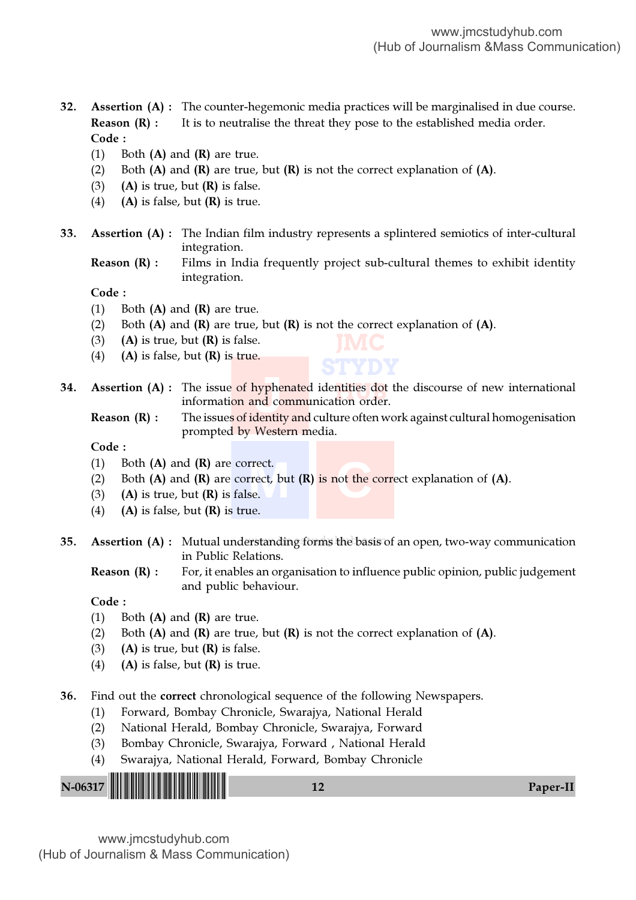32. Assertion (A) : The counter-hegemonic media practices will be marginalised in due course. **Reason**  $(R)$ **:** It is to neutralise the threat they pose to the established media order. Code :

- (1) Both  $(A)$  and  $(R)$  are true.
- (2) Both  $(A)$  and  $(R)$  are true, but  $(R)$  is not the correct explanation of  $(A)$ .
- (3) (A) is true, but  $(R)$  is false.
- (4) (A) is false, but  $(R)$  is true.
- 33. Assertion (A) : The Indian film industry represents a splintered semiotics of inter-cultural integration.
	- Reason (R) : Films in India frequently project sub-cultural themes to exhibit identity integration.

**JMC**

#### Code :

- (1) Both  $(A)$  and  $(R)$  are true.
- (2) Both  $(A)$  and  $(R)$  are true, but  $(R)$  is not the correct explanation of  $(A)$ .
- (3) (A) is true, but  $(R)$  is false.
- (4) (A) is false, but  $(R)$  is true.
- **STYDY** <mark>ntities dot</mark> t<br>tion order <mark>iyph</mark>er<br>nd cor<br>dentity **34.** Assertion (A) : The issue of hyphenated identities dot the discourse of new international information and communication order.
	- Reason (R) : The issues of identity and culture often work against cultural homogenisation prompted by Western media.

#### Code :

- (1) Both  $(A)$  and  $(R)$  are correct.
- rrect.<br>rrect, but (R) is not the co<br>se. (2) Both  $(A)$  and  $(R)$  are correct, but  $(R)$  is not the correct explanation of  $(A)$ .
- (3) (A) is true, but  $(R)$  is false.
- (4) (A) is false, but  $(R)$  is true.
- 35. Assertion  $(A)$  : Mutual understanding forms the basis of an open, two-way communication in Public Relations.
	- **Reason (R) :** For, it enables an organisation to influence public opinion, public judgement and public behaviour.

Code :

- (1) Both  $(A)$  and  $(R)$  are true.
- (2) Both  $(A)$  and  $(R)$  are true, but  $(R)$  is not the correct explanation of  $(A)$ .
- (3) (A) is true, but  $(R)$  is false.
- (4) (A) is false, but  $(R)$  is true.
- 36. Find out the correct chronological sequence of the following Newspapers.
	- (1) Forward, Bombay Chronicle, Swarajya, National Herald
	- (2) National Herald, Bombay Chronicle, Swarajya, Forward
	- (3) Bombay Chronicle, Swarajya, Forward , National Herald
	- (4) Swarajya, National Herald, Forward, Bombay Chronicle

|--|--|--|--|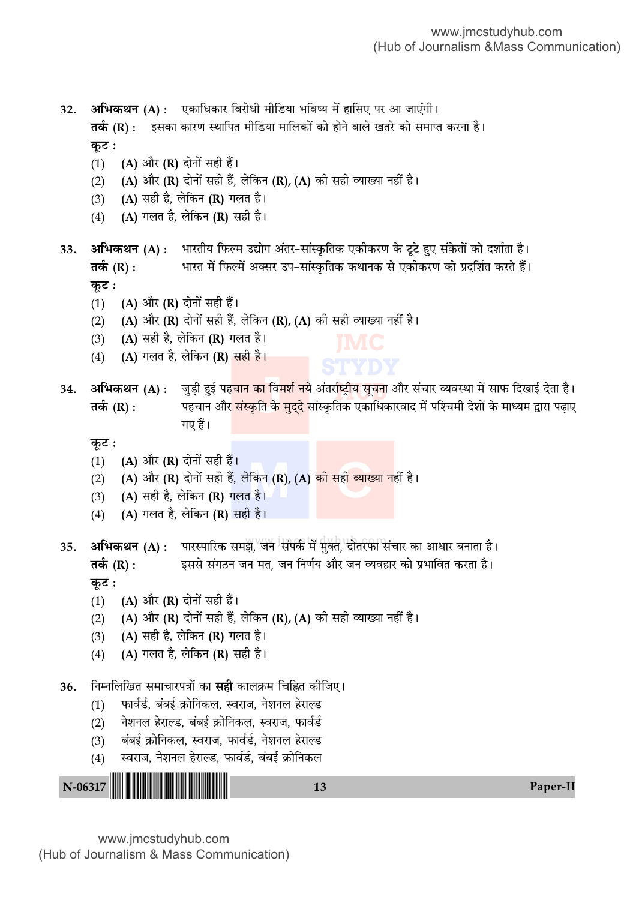अभिकथन (A) : एकाधिकार विरोधी मीडिया भविष्य में हासिए पर आ जाएंगी। 32. **तर्क (R) :** इसका कारण स्थापित मीडिया मालिकों को होने वाले खतरे को समाप्त करना है। कूट :

- (A) और (R) दोनों सही हैं।  $(1)$
- $(2)$ (A) और (R) दोनों सही हैं, लेकिन (R), (A) की सही व्याख्या नहीं है।
- (A) सही है, लेकिन (R) गलत है।  $(3)$
- (A) गलत है, लेकिन (R) सही है।  $(4)$

अभिकथन (A) : भारतीय फिल्म उद्योग अंतर-सांस्कृतिक एकीकरण के टूटे हुए संकेतों को दर्शाता है। 33. भारत में फिल्में अक्सर उप-सांस्कृतिक कथानक से एकीकरण को प्रदर्शित करते हैं। तर्क (R) : कूट :

- (A) और (R) दोनों सही हैं।  $(1)$
- $(2)$ (A) और (R) दोनों सही हैं, लेकिन (R), (A) की सही व्याख्या नहीं है।
- (A) सही है, लेकिन (R) गलत है।  $(3)$
- (A) गलत है, लेकिन (R) सही है।  $(4)$

अभिकथन (A) : ्जुड़ी हुई पह<mark>चान का विमर्श न</mark>ये अंतर्राष्ट्रीय सूचना और संचार व्यवस्था में साफ दिखाई देता है। 34. पहचान और <mark>संस्कृति के मुद्दे</mark> सांस्कृतिक एकाधिकारवाद में पश्चिमी देशों के माध्यम द्वारा पढ़ाए तर्क (R) : गए हैं।

कुट :

- (A) और (R) दोनों सही हैं।  $(1)$
- (A) और (R) दोनों सही हैं, लेकिन (R), (A) <mark>की सही व्याख्या न</mark>हीं है।  $(2)$
- (A) सही है, लेकिन (R) गलत है।  $(3)$
- (A) गलत है, लेकिन (R) सही है।  $(4)$

अभिकथन (A) : पारस्पारिक समझ, जन-संपर्क में मुक्त, दोतरफी संचार का आधार बनाता है। 35. इससे संगठन जन मत, जन निर्णय और जन व्यवहार को प्रभावित करता है। तर्क  $(R)$  : कुट:

- (A) और (R) दोनों सही हैं।  $(1)$
- (A) और (R) दोनों सही हैं, लेकिन (R), (A) की सही व्याख्या नहीं है।  $(2)$
- (A) सही है, लेकिन (R) गलत है।  $(3)$
- (A) गलत है, लेकिन (R) सही है।  $(4)$

निम्नलिखित समाचारपत्रों का **सही** कालक्रम चिह्नित कीजिए। 36.

- फार्वर्ड, बंबई क्रोनिकल, स्वराज, नेशनल हेराल्ड  $(1)$
- नेशनल हेराल्ड. बंबई क्रोनिकल. स्वराज. फार्वर्ड  $(2)$
- बंबई क्रोनिकल, स्वराज, फार्वर्ड, नेशनल हेराल्ड  $(3)$
- स्वराज, नेशनल हेराल्ड, फार्वर्ड, बंबई क्रोनिकल  $(4)$

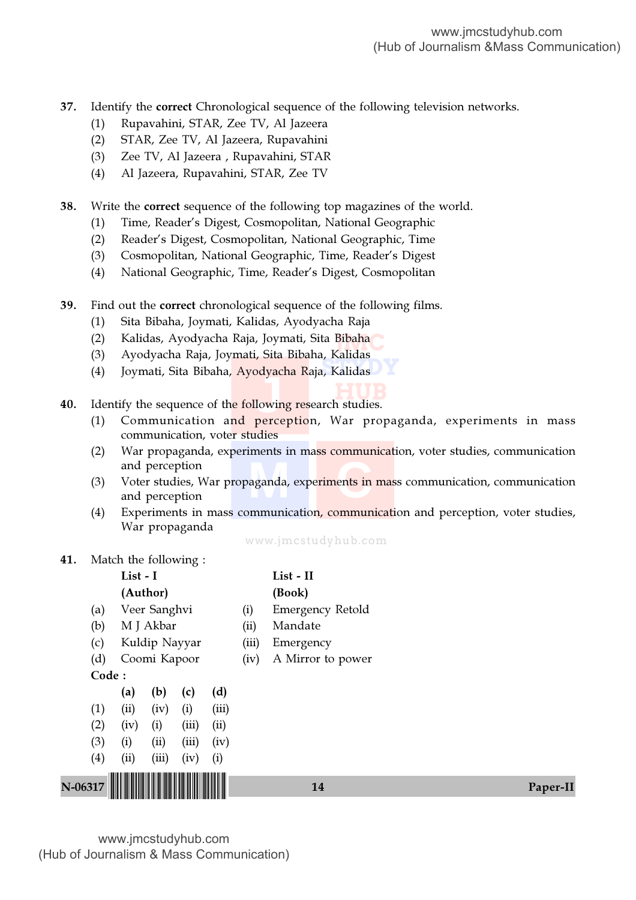37. Identify the correct Chronological sequence of the following television networks.

- (1) Rupavahini, STAR, Zee TV, Al Jazeera
- (2) STAR, Zee TV, Al Jazeera, Rupavahini
- (3) Zee TV, Al Jazeera , Rupavahini, STAR
- (4) Al Jazeera, Rupavahini, STAR, Zee TV

38. Write the correct sequence of the following top magazines of the world.

- (1) Time, Reader's Digest, Cosmopolitan, National Geographic
- (2) Reader's Digest, Cosmopolitan, National Geographic, Time
- (3) Cosmopolitan, National Geographic, Time, Reader's Digest
- (4) National Geographic, Time, Reader's Digest, Cosmopolitan
- 39. Find out the correct chronological sequence of the following films.
	- (1) Sita Bibaha, Joymati, Kalidas, Ayodyacha Raja
	- (2) Kalidas, Ayodyacha Raja, Joymati, Sita Bibaha<br><sup>(3)</sup> Ayodyacha Raja Joymati, Sita Bibaha, Kalidas
	- (3) Ayodyacha Raja, Joymati, Sita Bibaha, Kalidas
	- **STYDY** (4) Joymati, Sita Bibaha, Ayodyacha Raja, Kalidas
- **HUB Juyaci**<br>lowing<br>percen **40.** Identify the sequence of the following research studies.
	- (1) Communication and perception, War propaganda, experiments in mass communication, voter studies
	- (2) War propaganda, experiments in mass communication, voter studies, communication and perception
	- aganda, expe<mark>riments in</mark> r (3) Voter studies, War propaganda, experiments in mass communication, communication and perception
	- (4) Experiments in mass communication, communication and perception, voter studies, War propaganda

www.jmcstudyhub.com

41. Match the following :

|         |       | List - I            |           |       |       |       | List - II         |          |
|---------|-------|---------------------|-----------|-------|-------|-------|-------------------|----------|
|         |       | (Author)            |           |       |       |       | (Book)            |          |
|         | (a)   | Veer Sanghvi<br>(i) |           |       |       |       | Emergency Retold  |          |
|         | (b)   |                     | M J Akbar |       |       | (ii)  | Mandate           |          |
|         | (c)   | Kuldip Nayyar       |           |       |       | (iii) | Emergency         |          |
|         | (d)   | Coomi Kapoor        |           |       |       | (iv)  | A Mirror to power |          |
|         | Code: |                     |           |       |       |       |                   |          |
|         |       | (a)                 | (b)       | (c)   | (d)   |       |                   |          |
|         | (1)   | (ii)                | (iv)      | (i)   | (iii) |       |                   |          |
|         | (2)   | (iv)                | (i)       | (iii) | (ii)  |       |                   |          |
|         | (3)   | (i)                 | (ii)      | (iii) | (iv)  |       |                   |          |
|         | (4)   | (ii)                | (iii)     | (iv)  | (i)   |       |                   |          |
|         |       |                     |           |       |       |       |                   |          |
| N-06317 |       |                     |           |       |       |       | 14                | Paper-II |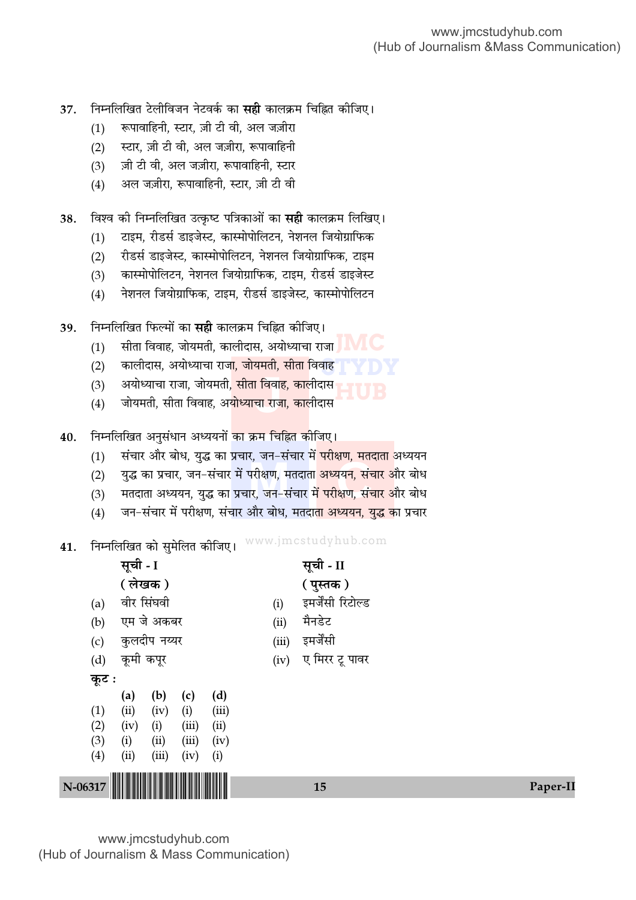Paper-II

- निम्नलिखित टेलीविजन नेटवर्क का **सही** कालक्रम चिह्नित कीजिए। 37.
	- रूपावाहिनी, स्टार, ज़ी टी वी, अल जज़ीरा  $(1)$
	- स्टार. ज़ी टी वी. अल जज़ीरा. रूपावाहिनी  $(2)$
	- ज़ी टी वी. अल जज़ीरा. रूपावाहिनी. स्टार  $(3)$
	- अल जज़ीरा, रूपावाहिनी, स्टार, ज़ी टी वी  $(4)$
- विश्व की निम्नलिखित उत्कृष्ट पत्रिकाओं का **सही** कालक्रम लिखिए। 38.
	- टाइम, रीडर्स डाइजेस्ट, कास्मोपोलिटन, नेशनल जियोग्राफिक  $(1)$
	- रीडर्स डाइजेस्ट, कास्मोपोलिटन, नेशनल जियोग्राफिक, टाइम  $(2)$
	- कास्मोपोलिटन, नेशनल जियोग्राफिक, टाइम, रीडर्स डाइजेस्ट  $(3)$
	- नेशनल जियोग्राफिक, टाइम, रीडर्स डाइजेस्ट, कास्मोपोलिटन  $(4)$
- निम्नलिखित फिल्मों का **सही** कालक्रम चिह्नित कीजिए। 39.
	- सीता विवाह, जोयमती, कालीदास, अयोध्याचा राजा $\blacksquare$  $(1)$
	- कालीदास, अयोध्याचा राज<mark>ा, जोयमती, सीता विवाह</mark>  $(2)$
	- अयोध्याचा राजा, जोयमती<mark>, सीता विवाह, का</mark>लीदास  $(3)$
	- जोयमती, सीता विवाह, अ<mark>योध्याचा राजा, का</mark>लीदास  $(4)$
- निम्नलिखित अनुसंधान अध्ययनों <mark>का क्रम चिह्नित कीजिए।</mark> 40.
	- संचार और बोध, युद्ध का प्रचार, जन-संचार मे<mark>ं परीक्षण, मतदाता</mark> अध्ययन  $(1)$
	- युद्ध का प्रचार, जन–संचार में परीक्षण, मतदात<mark>ा अध्ययन, संचार औ</mark>र बोध  $(2)$
	- मतदाता अध्ययन, युद्ध का प्रचार, जन-संचार <mark>में परीक्षण, संचार औ</mark>र बोध  $(3)$
	- जन-संचार में परीक्षण, संचार और बोध, मतदा<mark>ता अध्ययन, युद्ध का</mark> प्रचार  $(4)$
- **41. निम्नलिखित को सुमेलित कीजिए।** WWW.jmcstudyhub.com

|         | सूची - I  | ╰            |       |       |       | सूची - II         |  |
|---------|-----------|--------------|-------|-------|-------|-------------------|--|
|         |           | (लेखक)       |       |       |       | ( पुस्तक )        |  |
| (a)     |           | वीर सिंघवी   |       |       | (i)   | इमर्जेंसी रिटोल्ड |  |
| (b)     |           | एम जे अकबर   |       |       | (ii)  | मैनडेट            |  |
| (c)     |           | कुलदीप नय्यर |       |       | (iii) | इमर्जेंसी         |  |
| (d)     | कूमी कपूर |              |       |       | (iv)  | ए मिरर टू पावर    |  |
| कूट :   |           |              |       |       |       |                   |  |
|         | (a)       | (b)          | (c)   | (d)   |       |                   |  |
| (1)     | (ii)      | (iv)         | (i)   | (iii) |       |                   |  |
| (2)     | (iv)      | (i)          | (iii) | (ii)  |       |                   |  |
| (3)     | (i)       | (ii)         | (iii) | (iv)  |       |                   |  |
| (4)     | (ii)      | (iii)        | (iv)  | (i)   |       |                   |  |
|         |           |              |       |       |       |                   |  |
| N-06317 |           |              |       |       |       | 15                |  |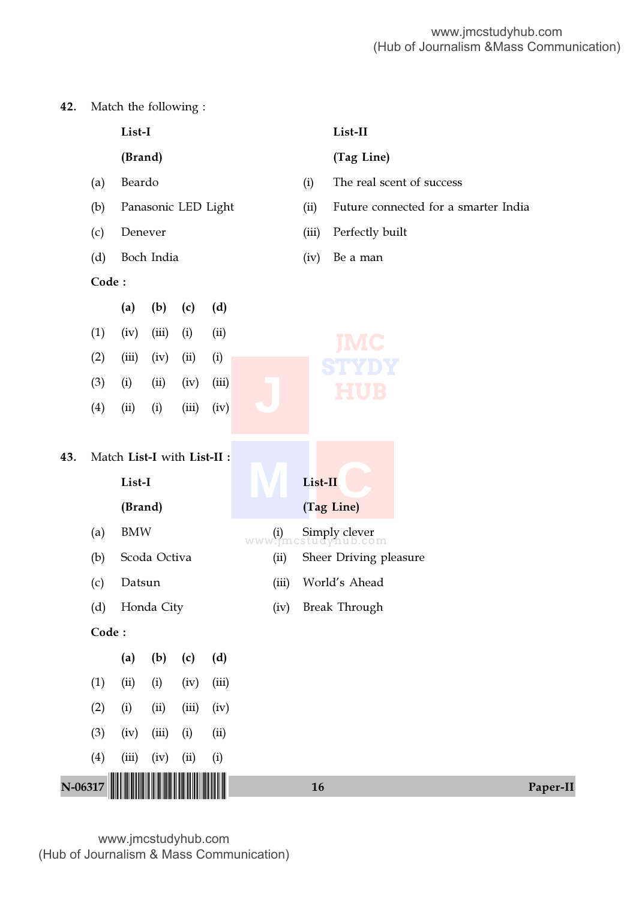42. Match the following :

|           |                   | List-I                                                                   |              |       |                     |               |         | List-II                                                                      |  |
|-----------|-------------------|--------------------------------------------------------------------------|--------------|-------|---------------------|---------------|---------|------------------------------------------------------------------------------|--|
|           |                   | (Brand)                                                                  |              |       |                     |               |         | (Tag Line)                                                                   |  |
|           | (a)               | Beardo                                                                   |              |       |                     |               | (i)     | The real scent of success                                                    |  |
|           | (b)               |                                                                          |              |       | Panasonic LED Light |               | (ii)    | Future connected for a smarter India                                         |  |
|           | (c)               | Denever                                                                  |              |       |                     |               | (iii)   | Perfectly built                                                              |  |
|           | (d)               |                                                                          | Boch India   |       |                     |               | (iv)    | Be a man                                                                     |  |
|           | Code:             |                                                                          |              |       |                     |               |         |                                                                              |  |
|           |                   | (a)                                                                      | (b)          | (c)   | (d)                 |               |         |                                                                              |  |
|           | (1)               | (iv)                                                                     | (iii)        | (i)   | (ii)                |               |         |                                                                              |  |
|           | (2)               | (iii)                                                                    | (iv)         | (ii)  | (i)                 |               |         |                                                                              |  |
|           | (3)               | (i)                                                                      | (ii)         | (iv)  | (iii)               |               |         |                                                                              |  |
|           | (4)               | (ii)                                                                     | (i)          | (iii) | (iv)                |               |         |                                                                              |  |
| 43.       | (a)<br>(b)<br>(c) | Match List-I with List-II :<br>List-I<br>(Brand)<br><b>BMW</b><br>Datsun | Scoda Octiva |       |                     | (ii)<br>(iii) | List-II | (Tag Line)<br>www.jmcstudynub.com<br>Sheer Driving pleasure<br>World's Ahead |  |
|           | (d)               |                                                                          | Honda City   |       |                     | (iv)          |         | <b>Break Through</b>                                                         |  |
|           | Code:             |                                                                          |              |       |                     |               |         |                                                                              |  |
|           |                   | (a)                                                                      | (b)          | (c)   | (d)                 |               |         |                                                                              |  |
|           | (1)               | (ii)                                                                     | (i)          | (iv)  | (iii)               |               |         |                                                                              |  |
|           | (2)               | (i)                                                                      | (ii)         | (iii) | (iv)                |               |         |                                                                              |  |
|           | (3)               | (iv)                                                                     | (iii)        | (i)   | (ii)                |               |         |                                                                              |  |
|           | (4)               | (iii)                                                                    | (iv)         | (ii)  | (i)                 |               |         |                                                                              |  |
| $N-06317$ |                   |                                                                          |              |       |                     |               | 16      | Paper-II                                                                     |  |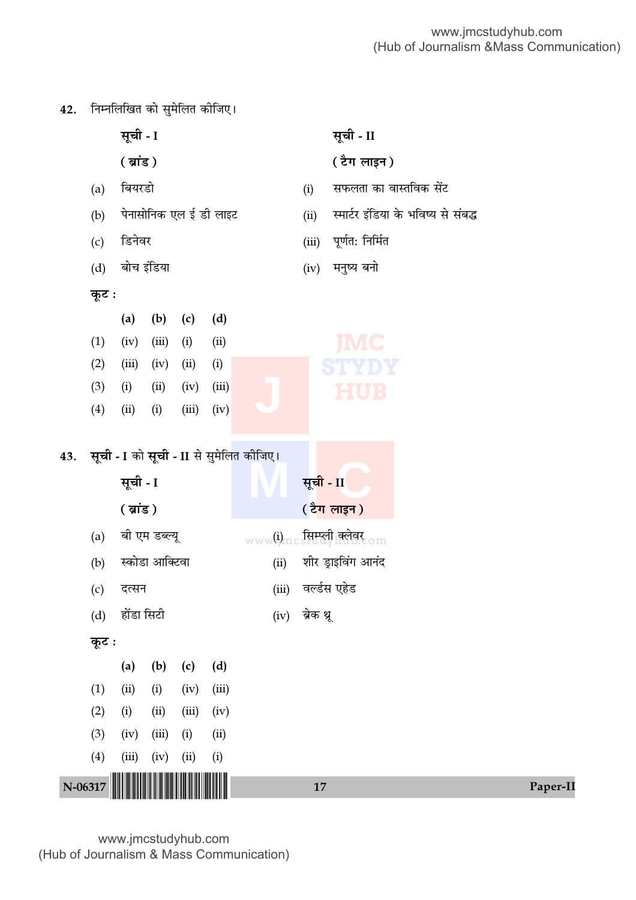42. निम्नलिखित को सुमेलित कीजिए।

|     |       | सूची - I                                                       |                |       |                        |                                         |           | सूची - II                     |                                     |  |
|-----|-------|----------------------------------------------------------------|----------------|-------|------------------------|-----------------------------------------|-----------|-------------------------------|-------------------------------------|--|
|     |       | $($ ब्रांड)                                                    |                |       |                        |                                         |           | ( टैग लाइन )                  |                                     |  |
|     | (a)   | बियरडो                                                         |                |       |                        |                                         | (i)       | सफलता का वास्तविक सेंट        |                                     |  |
|     | (b)   |                                                                |                |       | पेनासोनिक एल ई डी लाइट |                                         | (ii)      |                               | स्मार्टर इंडिया के भविष्य से संबद्ध |  |
|     | (c)   | डिनेवर                                                         |                |       |                        |                                         | (iii)     | पूर्णत: निर्मित               |                                     |  |
|     | (d)   | बोच इंडिया                                                     |                |       |                        |                                         | (iv)      | मनुष्य बनो                    |                                     |  |
|     | कूट : |                                                                |                |       |                        |                                         |           |                               |                                     |  |
|     |       | (a)                                                            | (b)            | (c)   | (d)                    |                                         |           |                               |                                     |  |
|     | (1)   | (iv)                                                           | (iii)          | (i)   | (ii)                   |                                         |           | <b>IMC</b>                    |                                     |  |
|     | (2)   | (iii)                                                          | (iv)           | (ii)  | (i)                    |                                         |           | STYDY                         |                                     |  |
|     | (3)   | (i)                                                            | (ii)           | (iv)  | (iii)                  |                                         |           | <b>HUB</b>                    |                                     |  |
|     | (4)   | (ii)                                                           | (i)            | (iii) | (iv)                   |                                         |           |                               |                                     |  |
| 43. |       | सूची - I                                                       |                |       |                        | सूची - I को सूची - II से सुमेलित कीजिए। | सूची - II |                               |                                     |  |
|     |       | $(\overline{\mathfrak{g}}\mathfrak{i}\overline{\mathfrak{s}})$ |                |       |                        |                                         |           | <u>( टैग लाइन )</u>           |                                     |  |
|     | (a)   |                                                                | बी एम डब्ल्यू  |       |                        |                                         |           | www(i)mcs सिम्पूली क्लेबर com |                                     |  |
|     | (b)   |                                                                | स्कोडा आक्टिवा |       |                        | (ii)                                    |           | शीर ड्राइविंग आनंद            |                                     |  |
|     | (c)   | दत्सन                                                          |                |       |                        | (iii)                                   |           | वर्ल्डस एहेड                  |                                     |  |
|     | (d)   | होंडा सिटी                                                     |                |       |                        | (iv)                                    | ब्रेक थू  |                               |                                     |  |
|     | कूट:  |                                                                |                |       |                        |                                         |           |                               |                                     |  |
|     |       | (a)                                                            | (b)            | (c)   | (d)                    |                                         |           |                               |                                     |  |
|     | (1)   | (ii)                                                           | (i)            | (iv)  | (iii)                  |                                         |           |                               |                                     |  |
|     | (2)   | (i)                                                            | (ii)           | (iii) | (iv)                   |                                         |           |                               |                                     |  |
|     | (3)   | (iv)                                                           | (iii)          | (i)   | (ii)                   |                                         |           |                               |                                     |  |
|     | (4)   | (iii)                                                          | (iv)           | (ii)  | (i)                    |                                         |           |                               |                                     |  |
|     |       |                                                                |                |       |                        |                                         |           |                               |                                     |  |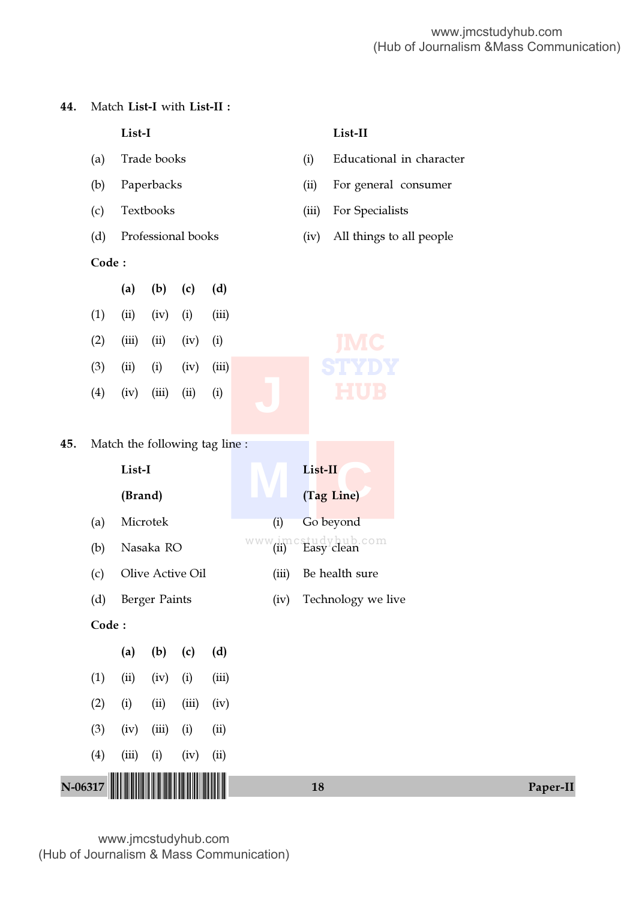44. Match List-I with List-II :

|           |                                                 | List-I                       |       |                                |       |       |         | List-II                               |          |  |  |
|-----------|-------------------------------------------------|------------------------------|-------|--------------------------------|-------|-------|---------|---------------------------------------|----------|--|--|
|           | Trade books<br>(a)                              |                              |       |                                |       |       | (i)     | Educational in character              |          |  |  |
|           | (b)                                             | Paperbacks<br>Textbooks      |       |                                |       |       | (ii)    | For general consumer                  |          |  |  |
|           | (c)                                             |                              |       |                                |       |       | (iii)   | For Specialists                       |          |  |  |
|           | (d)                                             | Professional books           |       |                                |       |       | (iv)    | All things to all people              |          |  |  |
|           | Code:                                           |                              |       |                                |       |       |         |                                       |          |  |  |
|           |                                                 | (a)                          | (b)   | (c)                            | (d)   |       |         |                                       |          |  |  |
|           | (1)                                             | (ii)                         | (iv)  | (i)                            | (iii) |       |         |                                       |          |  |  |
|           | (2)                                             | (iii)                        | (ii)  | (iv)                           | (i)   |       |         |                                       |          |  |  |
|           | (3)                                             | (ii)                         | (i)   | (iv)                           | (iii) |       |         |                                       |          |  |  |
|           | (4)                                             | (iv)                         | (iii) | (ii)                           | (i)   |       |         | EUB                                   |          |  |  |
|           |                                                 |                              |       |                                |       |       |         |                                       |          |  |  |
| 45.       |                                                 |                              |       | Match the following tag line : |       |       |         |                                       |          |  |  |
|           | List-I                                          |                              |       |                                |       |       | List-II |                                       |          |  |  |
|           | (Brand)                                         |                              |       |                                |       |       |         | (Tag Line)                            |          |  |  |
|           | (a)                                             | Microtek<br>Nasaka RO<br>(b) |       |                                |       |       |         | Go beyond                             |          |  |  |
|           |                                                 |                              |       |                                |       |       |         | www.imcstudybub.com<br>Be health sure |          |  |  |
|           | Olive Active Oil<br>(c)<br>(d)<br>Berger Paints |                              |       |                                |       | (iii) |         |                                       |          |  |  |
|           |                                                 |                              |       |                                |       |       |         | (iv) Technology we live               |          |  |  |
|           | Code:                                           |                              |       |                                |       |       |         |                                       |          |  |  |
|           |                                                 | (a)                          | (b)   | (c)                            | (d)   |       |         |                                       |          |  |  |
|           | (1)                                             | (ii)                         | (iv)  | (i)                            | (iii) |       |         |                                       |          |  |  |
|           | (2)                                             | (i)                          | (ii)  | (iii)                          | (iv)  |       |         |                                       |          |  |  |
|           | (3)                                             | (iv)                         | (iii) | (i)                            | (ii)  |       |         |                                       |          |  |  |
|           | (4)                                             | (iii)                        | (i)   | (iv)                           | (ii)  |       |         |                                       |          |  |  |
| $N-06317$ |                                                 |                              |       |                                |       |       |         | 18                                    | Paper-II |  |  |
|           |                                                 |                              |       |                                |       |       |         |                                       |          |  |  |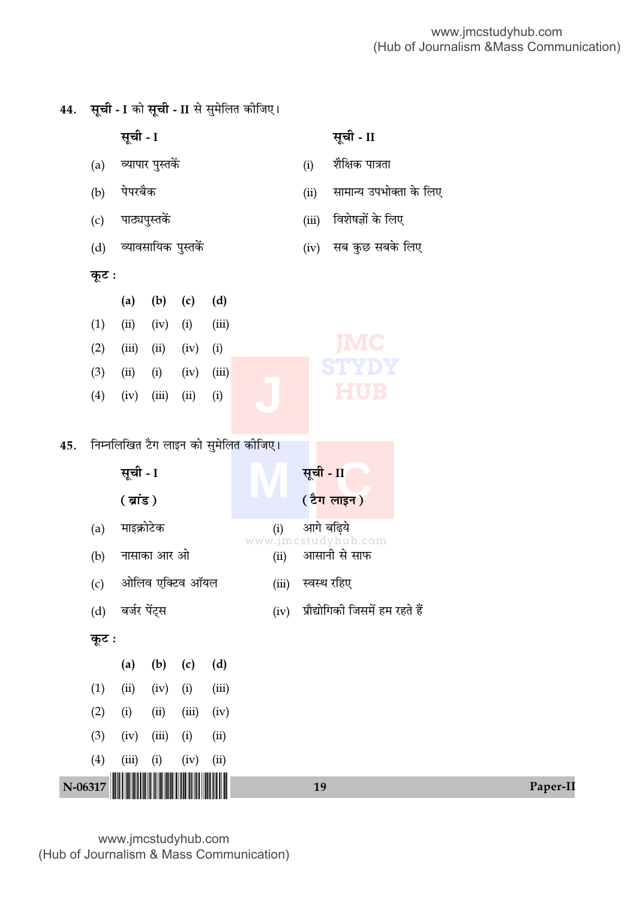Paper-II

सूची - II सूची - I व्यापार पुस्तकें शैक्षिक पात्रता  $(i)$  $(a)$ पेपरबैक सामान्य उपभोक्ता के लिए  $(b)$  $(ii)$ विशेषज्ञों के लिए पाठ्यपुस्तकें  $(c)$  $(iii)$ व्यावसायिक पुस्तकें सब कुछ सबके लिए  $(d)$  $(iv)$ कुट:  $(a)$  $(b)$  $(c)$  $(d)$  $(1)$  $(ii)$  $(iv)$  $(i)$  $(iii)$  $(2)$  $(iii)$  $(ii)$  $(iv)$  $(i)$  $(3)$  $(ii)$  $(i)$  $(iv)$  $(iii)$  $(4)$  $(iv)$  $(iii)$  $(ii)$  $(i)$ निम्नलिखित टैग लाइन को सुमेलित कीजिए। 45. सूची - I सूची - II  $(\overline{g}$ ig $)$ ( टैग लाइन) माइक्रोटेक आगे बढिये  $(a)$  $(i)$ www.jmcstudyhub.com आसानी से साफ नासाका आर ओ  $(ii)$  $(b)$ ओलिव एक्टिव ऑयल स्वस्थ रहिए  $(c)$  $(iii)$ बर्जर पेंट्स प्रौद्योगिकी जिसमें हम रहते हैं  $(d)$  $(iv)$ कूट :  $(a)$  $(d)$  $(b)$  $(c)$  $(iii)$  $(1)$  $(ii)$  $(iv)$  $(i)$  $(2)$  $(i)$  $(ii)$  $(iii)$  $(iv)$  $(3)$  $(iv)$  $(iii)$  $(i)$  $(ii)$  $(4)$  $(i)$  $(iv)$  $(ii)$  $(iii)$  $N-06317$ 19

सूची - I को सूची - II से सुमेलित कीजिए।

44.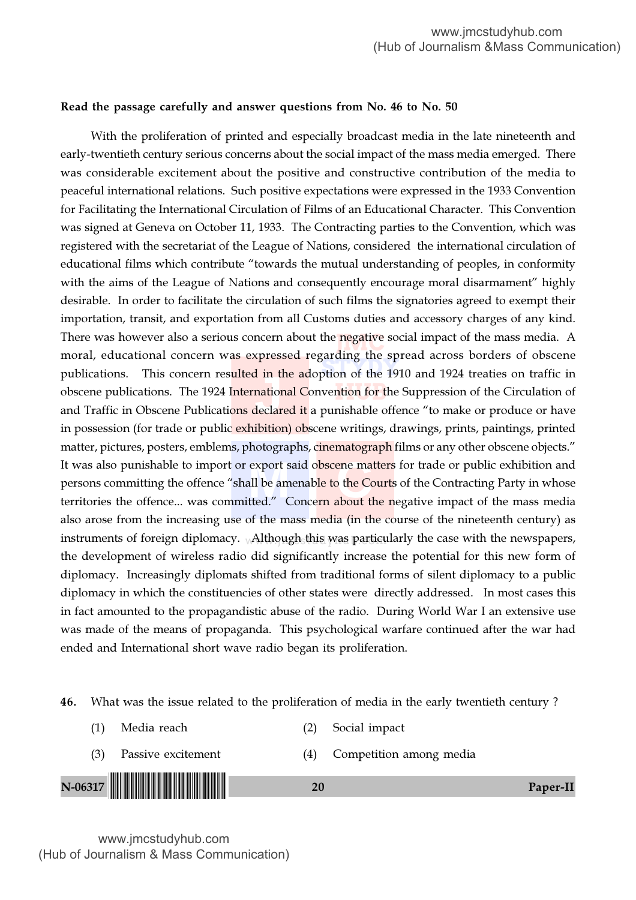#### Read the passage carefully and answer questions from No. 46 to No. 50

There was however also a serious concern about the negative social impact of the mass media. A<br>moral, advertisingly sensors was expressed recording the spread ecrose harders of observe morar, calculonal concern was expressed regarding the spread across borders or obseene<br>publications. This concern resulted in the adoption of the 1910 and 1924 treaties on traffic in <mark>ntion for t</mark>he instruments of foreign diplomacy. <sub>W</sub>Although this was particularly the case with the newspapers, 1 in th<br>nation:<br>leclare export said obscene matt<br>all be amenable to the Courted." Concern about the With the proliferation of printed and especially broadcast media in the late nineteenth and early-twentieth century serious concerns about the social impact of the mass media emerged. There was considerable excitement about the positive and constructive contribution of the media to peaceful international relations. Such positive expectations were expressed in the 1933 Convention for Facilitating the International Circulation of Films of an Educational Character. This Convention was signed at Geneva on October 11, 1933. The Contracting parties to the Convention, which was registered with the secretariat of the League of Nations, considered the international circulation of educational films which contribute "towards the mutual understanding of peoples, in conformity with the aims of the League of Nations and consequently encourage moral disarmament" highly desirable. In order to facilitate the circulation of such films the signatories agreed to exempt their importation, transit, and exportation from all Customs duties and accessory charges of any kind. moral, educational concern was expressed regarding the spread across borders of obscene obscene publications. The 1924 International Convention for the Suppression of the Circulation of and Traffic in Obscene Publications declared it a punishable offence "to make or produce or have in possession (for trade or public exhibition) obscene writings, drawings, prints, paintings, printed matter, pictures, posters, emblems, photographs, cinematograph films or any other obscene objects." It was also punishable to import or export said obscene matters for trade or public exhibition and persons committing the offence "shall be amenab<mark>le to</mark> the Courts of the Contracting Party in whose territories the offence... was committed." Concern about the negative impact of the mass media also arose from the increasing use of the mass media (in the course of the nineteenth century) as the development of wireless radio did significantly increase the potential for this new form of diplomacy. Increasingly diplomats shifted from traditional forms of silent diplomacy to a public diplomacy in which the constituencies of other states were directly addressed. In most cases this in fact amounted to the propagandistic abuse of the radio. During World War I an extensive use was made of the means of propaganda. This psychological warfare continued after the war had ended and International short wave radio began its proliferation.

46. What was the issue related to the proliferation of media in the early twentieth century ?

N-06317 !N-06317-PAPER-II! <sup>20</sup> Paper-II (1) Media reach (2) Social impact (3) Passive excitement (4) Competition among media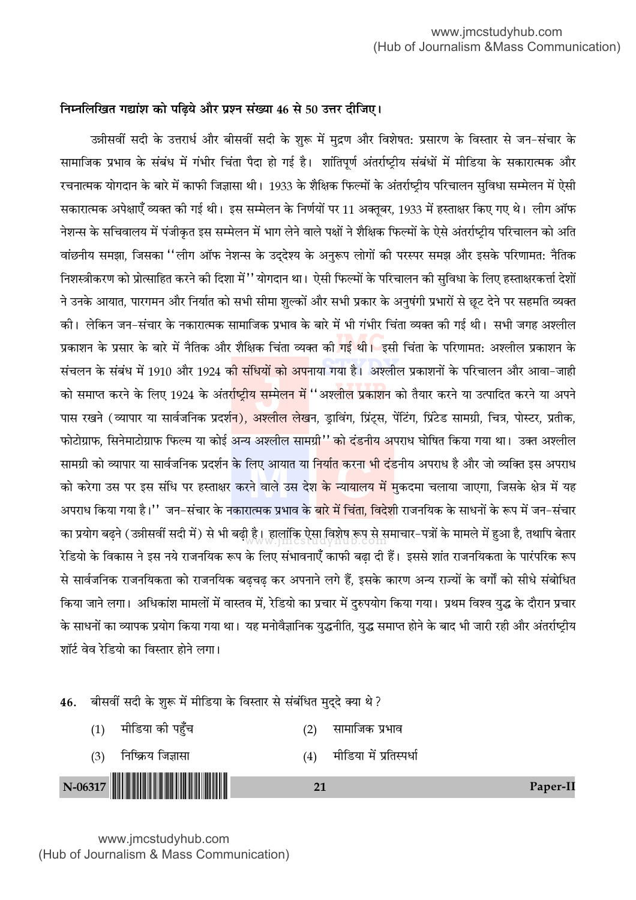## निम्नलिखित गद्यांश को पढ़िये और प्रश्न संख्या 46 से 50 उत्तर दीजिए।

उन्नीसवीं सदी के उत्तरार्ध और बीसवीं सदी के शुरू में मुद्रण और विशेषत: प्रसारण के विस्तार से जन-संचार के सामाजिक प्रभाव के संबंध में गंभीर चिंता पैदा हो गई है। शांतिपूर्ण अंतर्राष्ट्रीय संबंधों में मीडिया के सकारात्मक और रचनात्मक योगदान के बारे में काफी जिज्ञासा थी। 1933 के शैक्षिक फिल्मों के अंतर्राष्ट्रीय परिचालन सुविधा सम्मेलन में ऐसी सकारात्मक अपेक्षाएँ व्यक्त की गई थी। इस सम्मेलन के निर्णयों पर 11 अक्तूबर, 1933 में हस्ताक्षर किए गए थे। लीग ऑफ नेशन्स के सचिवालय में पंजीकृत इस सम्मेलन में भाग लेने वाले पक्षों ने शैक्षिक फिल्मों के ऐसे अंतर्राष्ट्रीय परिचालन को अति वांछनीय समझा. जिसका ''लीग ऑफ नेशन्स के उददेश्य के अनरूप लोगों की परस्पर समझ और इसके परिणामत: नैतिक निशस्त्रीकरण को प्रोत्साहित करने की दिशा में'' योगदान था। ऐसी फिल्मों के परिचालन की सविधा के लिए हस्ताक्षरकर्त्ता देशों ने उनके आयात, पारगमन और निर्यात को सभी सीमा शुल्कों और सभी प्रकार के अनुषंगी प्रभारों से छूट देने पर सहमति व्यक्त की। लेकिन जन–संचार के नकारात्मक सामाजिक प्रभाव के बारे में भी गंभीर चिंता व्यक्त की गई थी। सभी जगह अश्लील प्रकाशन के प्रसार के बारे में नैतिक और शैक्षिक चिंता व्यक्त की <mark>गई थी।</mark> इसी चिंता के परिणामत: अश्लील प्रकाशन के संचलन के संबंध में 1910 और 1924 क<mark>ी संधियों को अप</mark>नाया गया है। अश्लील प्रकाशनों के परिचालन और आवा–जाही को समाप्त करने के लिए 1924 के अंतर्राष्ट्रीय सम्मेलन में ''अश्लील प्रकाशन को तैयार करने या उत्पादित करने या अपने पास रखने (व्यापार या सार्वजनिक प्रदर्श<mark>न), अश्लील लेख</mark>न, डा़विंग, प्रिंट्स, पेंटिंग, प्रिंटेड सामग्री, चित्र, पोस्टर, प्रतीक, फोटोग्राफ, सिनेमाटोग्राफ फिल्म या कोई अन्य अश्लील सामग्री'' को दंडनीय अपराध घोषित किया गया था। उक्त अश्लील सामग्री को व्यापार या सार्वजनिक प्रदर्शन के लिए आयात या <mark>निर्यात करना भी दं</mark>डनीय अपराध है और जो व्यक्ति इस अपराध को करेगा उस पर इस संधि पर हस्ताक्षर करने वाले उस देश <mark>के न्यायालय में म</mark>ुकदमा चलाया जाएगा, जिसके क्षेत्र में यह अपराध किया गया है।'' जन–संचार के नकारात्मक प्रभाव के <mark>बारे में चिंता, विदेशी</mark> राजनयिक के साधनों के रूप में जन–संचार का प्रयोग बढने (उन्नीसवीं सदी में) से भी बढी है। हालांकि ऐसा विशेष रूप से समाचार–पत्रों के मामले में हुआ है, तथापि बेतार रेडियो के विकास ने इस नये राजनयिक रूप के लिए संभावनाएँ काफी बढा दी हैं। इससे शांत राजनयिकता के पारंपरिक रूप से सार्वजनिक राजनयिकता को राजनयिक बढचढ कर अपनाने लगे हैं, इसके कारण अन्य राज्यों के वर्गों को सीधे संबोधित किया जाने लगा। अधिकांश मामलों में वास्तव में, रेडियो का प्रचार में दुरुपयोग किया गया। प्रथम विश्व युद्ध के दौरान प्रचार के साधनों का व्यापक प्रयोग किया गया था। यह मनोवैज्ञानिक युद्धनीति, युद्ध समाप्त होने के बाद भी जारी रही और अंतर्राष्ट्रीय शॉर्ट वेव रेडियो का विस्तार होने लगा।

बीसवीं सदी के शुरू में मीडिया के विस्तार से संबंधित मुदुदे क्या थे ? 46.

मीडिया की पहँच सामाजिक प्रभाव  $(1)$  $(2)$ मीडिया में प्रतिस्पर्धा निष्क्रिय जिज्ञासा  $(3)$  $(4)$ 

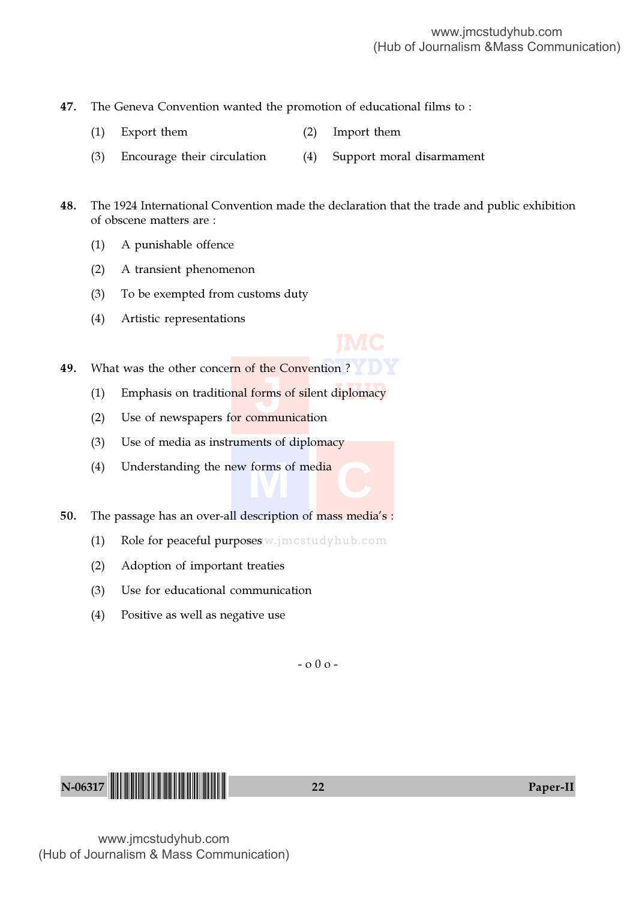47. The Geneva Convention wanted the promotion of educational films to :

- (1) Export them (2) Import them
- (3) Encourage their circulation (4) Support moral disarmament

48. The 1924 International Convention made the declaration that the trade and public exhibition of obscene matters are :

- (1) A punishable offence
- (2) A transient phenomenon
- (3) To be exempted from customs duty
- (4) Artistic representations



**49.** What was the other concern of the Convention ?

- $d$ iplomacy **J** (1) Emphasis on traditio<mark>nal forms of sil</mark>ent diplomacy
- (2) Use of newspapers for communication
- (3) Use of media as instruments of diplomacy
- (4) Understanding the new forms of media

50. The passage has an over-all description of mass media's :

- (1) Role for peaceful purposes w.jmcstudyhub.com
- (2) Adoption of important treaties
- (3) Use for educational communication
- (4) Positive as well as negative use

 $-0.00 -$ 

N-06317 !N-06317-PAPER-II! <sup>22</sup> Paper-II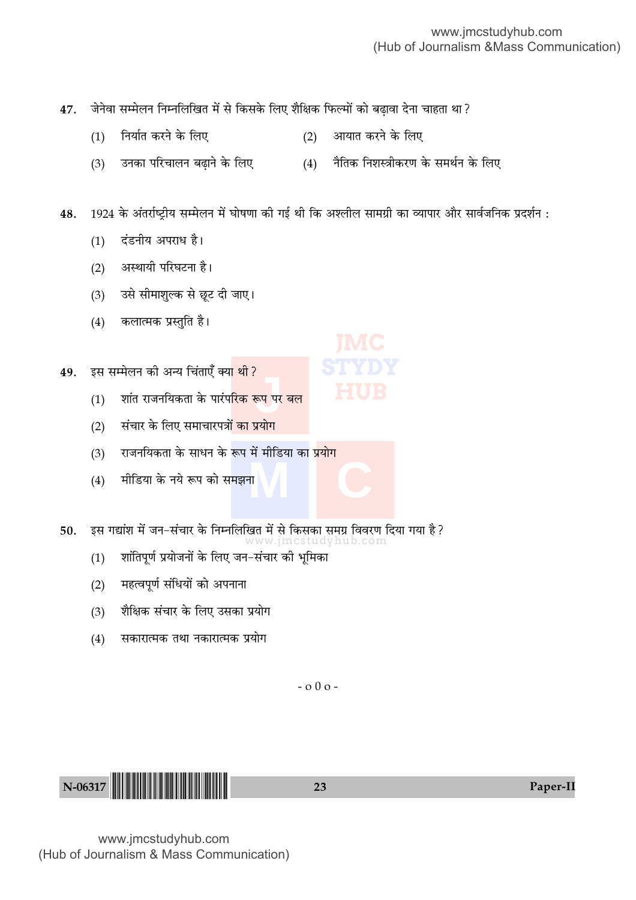47. जेनेवा सम्मेलन निम्नलिखित में से किसके लिए शैक्षिक फिल्मों को बढ़ावा देना चाहता था?

- $(1)$  निर्यात करने के लिए  $(2)$  आयात करने के लिए
- (3) उनका परिचालन बढ़ाने के लिए (4) नैतिक निशस्त्रीकरण के समर्थन के लिए

48. 1924 के अंतर्राष्ट्रीय सम्मेलन में घोषणा की गई थी कि अश्लील सामग्री का व्यापार और सार्वजनिक प्रदर्शन :

**STYDY**

- (1) दंडनीय अपराध है।
- (2) अस्थायी परिघटना है।
- (3) उसे सीमाशुल्क से छूट दी जाए।
- (4) कलात्मक प्रस्तुति है।
- 49. इस सम्मेलन की अन्य चिंताएँ क्या थी ?
	- .<br>इ.प. पर<sup>ः</sup><br>-(1) शांत राजनयिकता के पारंप<mark>रिक रूप पर बल</mark>
	- (2) संचार के लिए समाचारपत्रो<mark>ं का प्रयोग</mark>
	- **M C** (3) राजनयिकता के साधन के रूप में मीडिया का प्रयोग
	- $(4)$  मीडिया के नये रूप को समझना
- 50. इस गद्यांश में जन-संचार के निम्नलिखित में से किसका समग्र विवरण दिया गया है?
	- www.jmcstudyhub.com (1) शांतिपूर्ण प्रयोजनों के लिए जन-संचार को भूमिका
	- (2) महत्वपूर्ण संधियों को अपनाना
	- (3) शैक्षिक संचार के लिए उसका प्रयोग
	- (4) सकारात्मक तथा नकारात्मक प्रयोग

- o 0 o -

N-06317 <sup>23</sup> Paper-II !N-06317-PAPER-II!